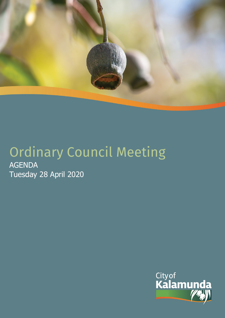

# Ordinary Council Meeting AGENDA Tuesday 28 April 2020

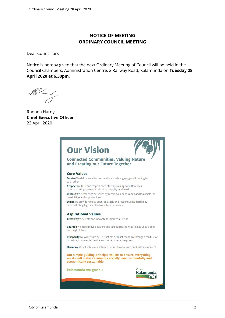# **NOTICE OF MEETING ORDINARY COUNCIL MEETING**

Dear Councillors

Notice is hereby given that the next Ordinary Meeting of Council will be held in the Council Chambers, Administration Centre, 2 Railway Road, Kalamunda on **Tuesday 28 April 2020 at 6.30pm**.

Rhonda Hardy **Chief Executive Officer** 23 April 2020

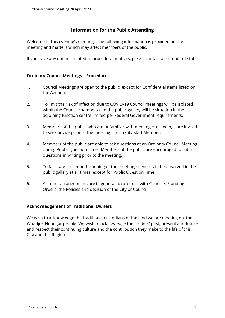# **Information for the Public Attending**

Welcome to this evening's meeting. The following information is provided on the meeting and matters which may affect members of the public.

If you have any queries related to procedural matters, please contact a member of staff.

### **Ordinary Council Meetings – Procedures**

- 1. Council Meetings are open to the public, except for Confidential Items listed on the Agenda.
- 2. To limit the risk of infection due to COVID-19 Council meetings will be isolated within the Council chambers and the public gallery will be situation in the adjoining function centre limited per Federal Government requirements.
- 3. Members of the public who are unfamiliar with meeting proceedings are invited to seek advice prior to the meeting from a City Staff Member.
- 4. Members of the public are able to ask questions at an Ordinary Council Meeting during Public Question Time. Members of the public are encouraged to submit questions in writing prior to the meeting.
- 5. To facilitate the smooth running of the meeting, silence is to be observed in the public gallery at all times, except for Public Question Time.
- 6. All other arrangements are in general accordance with Council's Standing Orders, the Policies and decision of the City or Council.

#### **Acknowledgement of Traditional Owners**

We wish to acknowledge the traditional custodians of the land we are meeting on, the Whadjuk Noongar people. We wish to acknowledge their Elders' past, present and future and respect their continuing culture and the contribution they make to the life of this City and this Region.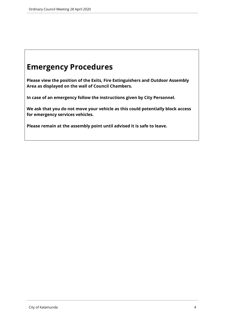# **Emergency Procedures**

**Please view the position of the Exits, Fire Extinguishers and Outdoor Assembly Area as displayed on the wall of Council Chambers.**

**In case of an emergency follow the instructions given by City Personnel.** 

**We ask that you do not move your vehicle as this could potentially block access for emergency services vehicles.** 

**Please remain at the assembly point until advised it is safe to leave.**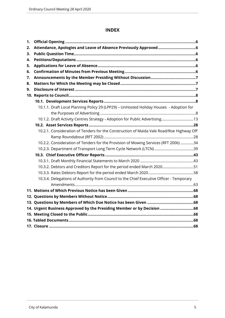# **INDEX**

| 1. |                                                                                          |  |
|----|------------------------------------------------------------------------------------------|--|
| 2. |                                                                                          |  |
| 3. |                                                                                          |  |
| 4. |                                                                                          |  |
| 5. |                                                                                          |  |
| 6. |                                                                                          |  |
| 7. |                                                                                          |  |
| 8. |                                                                                          |  |
| 9. |                                                                                          |  |
|    |                                                                                          |  |
|    |                                                                                          |  |
|    | 10.1.1. Draft Local Planning Policy 29 (LPP29) - UnHosted Holiday Houses - Adoption for  |  |
|    |                                                                                          |  |
|    | 10.1.2. Draft Activity Centres Strategy - Adoption for Public Advertising13              |  |
|    |                                                                                          |  |
|    | 10.2.1. Consideration of Tenders for the Construction of Maida Vale Road/Roe Highway Off |  |
|    |                                                                                          |  |
|    | 10.2.2. Consideration of Tenders for the Provision of Mowing Services (RFT 2006) 34      |  |
|    |                                                                                          |  |
|    |                                                                                          |  |
|    |                                                                                          |  |
|    | 10.3.2. Debtors and Creditors Report for the period ended March 202051                   |  |
|    |                                                                                          |  |
|    | 10.3.4. Delegations of Authority from Council to the Chief Executive Officer - Temporary |  |
|    |                                                                                          |  |
|    | 11. Motions of Which Previous Notice has been Given …………………………………………………………………68          |  |
|    |                                                                                          |  |
|    |                                                                                          |  |
|    | 14. Urgent Business Approved by the Presiding Member or by Decision 68                   |  |
|    |                                                                                          |  |
|    |                                                                                          |  |
|    |                                                                                          |  |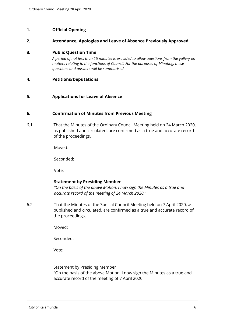#### <span id="page-5-0"></span>**1. Official Opening**

#### <span id="page-5-1"></span>**2. Attendance, Apologies and Leave of Absence Previously Approved**

#### <span id="page-5-2"></span>**3. Public Question Time**

*A period of not less than 15 minutes is provided to allow questions from the gallery on matters relating to the functions of Council. For the purposes of Minuting, these questions and answers will be summarised.*

#### <span id="page-5-3"></span>**4. Petitions/Deputations**

#### <span id="page-5-4"></span>**5. Applications for Leave of Absence**

#### <span id="page-5-5"></span>**6. Confirmation of Minutes from Previous Meeting**

6.1 That the Minutes of the Ordinary Council Meeting held on 24 March 2020, as published and circulated, are confirmed as a true and accurate record of the proceedings.

Moved:

Seconded:

Vote:

#### **Statement by Presiding Member**

*"On the basis of the above Motion, I now sign the Minutes as a true and accurate record of the meeting of 24 March 2020."*

6.2 That the Minutes of the Special Council Meeting held on 7 April 2020, as published and circulated, are confirmed as a true and accurate record of the proceedings.

Moved:

Seconded:

Vote:

Statement by Presiding Member

"On the basis of the above Motion, I now sign the Minutes as a true and accurate record of the meeting of 7 April 2020."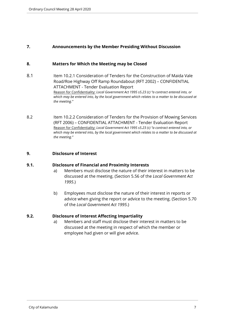### <span id="page-6-0"></span>**7. Announcements by the Member Presiding Without Discussion**

#### <span id="page-6-1"></span>**8. Matters for Which the Meeting may be Closed**

- 8.1 Item 10.2.1 Consideration of Tenders for the Construction of Maida Vale Road/Roe Highway Off Ramp Roundabout (RFT 2002) – CONFIDENTIAL ATTACHMENT - Tender Evaluation Report Reason for Confidentiality: *Local Government Act 1995 s5.23 (c) "a contract entered into, or which may be entered into, by the local government which relates to a matter to be discussed at the meeting."*
- 8.2 Item 10.2.2 Consideration of Tenders for the Provision of Mowing Services (RFT 2006) – CONFIDENTIAL ATTACHMENT - Tender Evaluation Report Reason for Confidentiality: *Local Government Act 1995 s5.23 (c) "a contract entered into, or which may be entered into, by the local government which relates to a matter to be discussed at the meeting."*

#### <span id="page-6-2"></span>**9. Disclosure of Interest**

#### **9.1. Disclosure of Financial and Proximity Interests**

- a) Members must disclose the nature of their interest in matters to be discussed at the meeting. (Section 5.56 of the *Local Government Act 1995*.)
- b) Employees must disclose the nature of their interest in reports or advice when giving the report or advice to the meeting. (Section 5.70 of the *Local Government Act 1995*.)

#### **9.2. Disclosure of Interest Affecting Impartiality**

a) Members and staff must disclose their interest in matters to be discussed at the meeting in respect of which the member or employee had given or will give advice.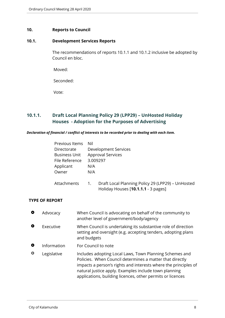#### <span id="page-7-0"></span>**10. Reports to Council**

# <span id="page-7-1"></span>**10.1. Development Services Reports**

The recommendations of reports 10.1.1 and 10.1.2 inclusive be adopted by Council en bloc.

Moved:

Seconded:

Vote:

# <span id="page-7-2"></span>**10.1.1. Draft Local Planning Policy 29 (LPP29) – UnHosted Holiday Houses - Adoption for the Purposes of Advertising**

#### *Declaration of financial / conflict of interests to be recorded prior to dealing with each item.*

| Previous Items       | Nil                      |                                                                                          |  |
|----------------------|--------------------------|------------------------------------------------------------------------------------------|--|
| Directorate          | Development Services     |                                                                                          |  |
| <b>Business Unit</b> | <b>Approval Services</b> |                                                                                          |  |
| File Reference       | 3.009297                 |                                                                                          |  |
| Applicant            | N/A                      |                                                                                          |  |
| Owner                | N/A                      |                                                                                          |  |
| Attachments          | $\mathbf{1}$ .           | Draft Local Planning Policy 29 (LPP29) - UnHosted<br>Holiday Houses [10.1.1.1 - 3 pages] |  |

#### **TYPE OF REPORT**

| O         | Advocacy    | When Council is advocating on behalf of the community to<br>another level of government/body/agency                                                                                                                                                                                                           |
|-----------|-------------|---------------------------------------------------------------------------------------------------------------------------------------------------------------------------------------------------------------------------------------------------------------------------------------------------------------|
| $\bullet$ | Executive   | When Council is undertaking its substantive role of direction<br>setting and oversight (e.g. accepting tenders, adopting plans<br>and budgets                                                                                                                                                                 |
| o         | Information | For Council to note                                                                                                                                                                                                                                                                                           |
| ♦         | Legislative | Includes adopting Local Laws, Town Planning Schemes and<br>Policies. When Council determines a matter that directly<br>impacts a person's rights and interests where the principles of<br>natural justice apply. Examples include town planning<br>applications, building licences, other permits or licences |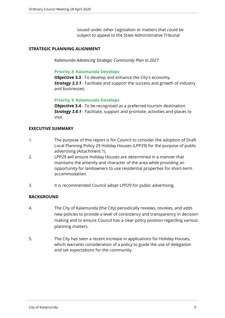issued under other Legislation or matters that could be subject to appeal to the State Administrative Tribunal

### **STRATEGIC PLANNING ALIGNMENT**

*Kalamunda Advancing Strategic Community Plan to 2027*

#### **Priority 3: Kalamunda Develops**

**Objective 3.3** - To develop and enhance the City's economy. *Strategy 3.3.1* - Facilitate and support the success and growth of industry and businesses.

#### **Priority 3: Kalamunda Develops**

**Objective 3.4** - To be recognised as a preferred tourism destination. *Strategy 3.4.1* - Facilitate, support and promote, activities and places to visit.

#### **EXECUTIVE SUMMARY**

- 1. The purpose of this report is for Council to consider the adoption of Draft Local Planning Policy 29 Holiday Houses (LPP29) for the purpose of public advertising (Attachment 1).
- 2. LPP29 will ensure Holiday Houses are determined in a manner that maintains the amenity and character of the area while providing an opportunity for landowners to use residential properties for short-term accommodation.
- 3. It is recommended Council adopt LPP29 for public advertising.

#### **BACKGROUND**

- 4. The City of Kalamunda (the City) periodically reviews, revokes, and adds new policies to provide a level of consistency and transparency in decisionmaking and to ensure Council has a clear policy position regarding various planning matters.
- 5. The City has seen a recent increase in applications for Holiday Houses, which warrants consideration of a policy to guide the use of delegation and set expectations for the community.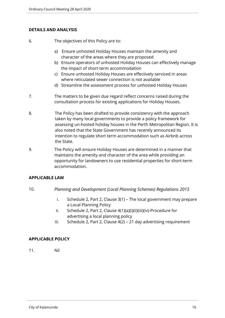#### **DETAILS AND ANALYSIS**

- 6. The objectives of this Policy are to:
	- a) Ensure unhosted Holiday Houses maintain the amenity and character of the areas where they are proposed
	- b) Ensure operators of unhosted Holiday Houses can effectively manage the impact of short-term accommodation
	- c) Ensure unhosted Holiday Houses are effectively serviced in areas where reticulated sewer connection is not available
	- d) Streamline the assessment process for unhosted Holiday Houses
- 7. The matters to be given due regard reflect concerns raised during the consultation process for existing applications for Holiday Houses.
- 8. The Policy has been drafted to provide consistency with the approach taken by many local governments to provide a policy framework for assessing un-hosted holiday houses in the Perth Metropolitan Region. It is also noted that the State Government has recently announced its intention to regulate short term accommodation such as Airbnb across the State.
- 9. The Policy will ensure Holiday Houses are determined in a manner that maintains the amenity and character of the area while providing an opportunity for landowners to use residential properties for short-term accommodation.

#### **APPLICABLE LAW**

- 10. *Planning and Development (Local Planning Schemes) Regulations 2015*
	- i. Schedule 2, Part 2, Clause 3(1) The local government may prepare a Local Planning Policy
	- ii. Schedule 2, Part 2, Clause 4(1)(a)(i)(ii)(iii)(iv)-Procedure for advertising a local planning policy
	- iii. Schedule 2, Part 2, Clause 4(2) 21 day advertising requirement

#### **APPLICABLE POLICY**

11. Nil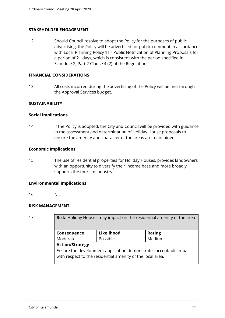#### **STAKEHOLDER ENGAGEMENT**

12. Should Council resolve to adopt the Policy for the purposes of public advertising, the Policy will be advertised for public comment in accordance with Local Planning Policy 11 - Public Notification of Planning Proposals for a period of 21 days, which is consistent with the period specified in Schedule 2, Part 2 Clause 4 (2) of the Regulations.

#### **FINANCIAL CONSIDERATIONS**

13. All costs incurred during the advertising of the Policy will be met through the Approval Services budget.

#### **SUSTAINABILITY**

#### **Social Implications**

14. If the Policy is adopted, the City and Council will be provided with guidance in the assessment and determination of Holiday House proposals to ensure the amenity and character of the areas are maintained.

#### **Economic Implications**

15. The use of residential properties for Holiday Houses, provides landowners with an opportunity to diversify their income base and more broadly supports the tourism industry.

#### **Environmental Implications**

16. Nil.

#### **RISK MANAGEMENT**

| 17. | <b>Risk:</b> Holiday Houses may impact on the residential amenity of the area                                                   |            |               |  |
|-----|---------------------------------------------------------------------------------------------------------------------------------|------------|---------------|--|
|     | Consequence                                                                                                                     | Likelihood | <b>Rating</b> |  |
|     | Moderate                                                                                                                        | Possible   | Medium        |  |
|     | <b>Action/Strategy</b>                                                                                                          |            |               |  |
|     | Ensure the development application demonstrates acceptable impact<br>with respect to the residential amenity of the local area. |            |               |  |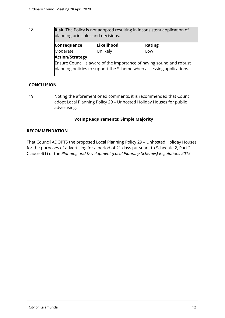18. **Risk**: The Policy is not adopted resulting in inconsistent application of planning principles and decisions.

| <b>Consequence</b>                                                                                                                           | Likelihood | Rating |
|----------------------------------------------------------------------------------------------------------------------------------------------|------------|--------|
| Moderate                                                                                                                                     | Unlikely   | Low    |
| <b>Action/Strategy</b>                                                                                                                       |            |        |
| Ensure Council is aware of the importance of having sound and robust<br>planning policies to support the Scheme when assessing applications. |            |        |

# **CONCLUSION**

19. Noting the aforementioned comments, it is recommended that Council adopt Local Planning Policy 29 – Unhosted Holiday Houses for public advertising.

#### **Voting Requirements: Simple Majority**

#### **RECOMMENDATION**

That Council ADOPTS the proposed Local Planning Policy 29 – Unhosted Holiday Houses for the purposes of advertising for a period of 21 days pursuant to Schedule 2, Part 2, Clause 4(1) of the *Planning and Development (Local Planning Schemes) Regulations 2015*.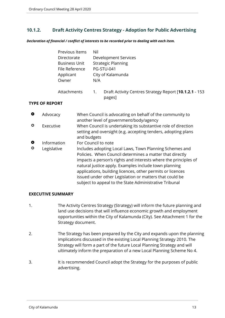# <span id="page-12-0"></span>**10.1.2. Draft Activity Centres Strategy - Adoption for Public Advertising**

*Declaration of financial / conflict of interests to be recorded prior to dealing with each item.*

| Previous Items | Nil                                                                                  |  |  |
|----------------|--------------------------------------------------------------------------------------|--|--|
| Directorate    | Development Services                                                                 |  |  |
| Business Unit  | <b>Strategic Planning</b>                                                            |  |  |
| File Reference | PG-STU-041                                                                           |  |  |
| Applicant      | City of Kalamunda                                                                    |  |  |
| Owner          | N/A                                                                                  |  |  |
| Attachments    | Draft Activity Centres Strategy Report [10.1.2.1 - 153<br>$\overline{1}$ .<br>pages] |  |  |

#### **TYPE OF REPORT**

| $\bullet$      | Advocacy                   | When Council is advocating on behalf of the community to<br>another level of government/body/agency                                                                                                                                                                                                                                                                                                                                                       |
|----------------|----------------------------|-----------------------------------------------------------------------------------------------------------------------------------------------------------------------------------------------------------------------------------------------------------------------------------------------------------------------------------------------------------------------------------------------------------------------------------------------------------|
| ≎              | Executive                  | When Council is undertaking its substantive role of direction<br>setting and oversight (e.g. accepting tenders, adopting plans<br>and budgets                                                                                                                                                                                                                                                                                                             |
| $\bullet$<br>♦ | Information<br>Legislative | For Council to note<br>Includes adopting Local Laws, Town Planning Schemes and<br>Policies. When Council determines a matter that directly<br>impacts a person's rights and interests where the principles of<br>natural justice apply. Examples include town planning<br>applications, building licences, other permits or licences<br>issued under other Legislation or matters that could be<br>subject to appeal to the State Administrative Tribunal |

#### **EXECUTIVE SUMMARY**

- 1. The Activity Centres Strategy (Strategy) will inform the future planning and land use decisions that will influence economic growth and employment opportunities within the City of Kalamunda (City). See Attachment 1 for the Strategy document.
- 2. The Strategy has been prepared by the City and expands upon the planning implications discussed in the existing Local Planning Strategy 2010. The Strategy will form a part of the future Local Planning Strategy and will ultimately inform the preparation of a new Local Planning Scheme No 4.
- 3. It is recommended Council adopt the Strategy for the purposes of public advertising.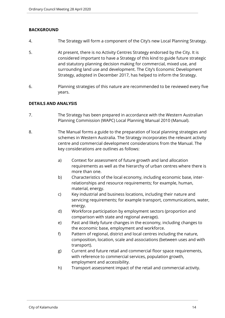### **BACKGROUND**

- 4. The Strategy will form a component of the City's new Local Planning Strategy.
- 5. At present, there is no Activity Centres Strategy endorsed by the City. It is considered important to have a Strategy of this kind to guide future strategic and statutory planning decision making for commercial, mixed use, and surrounding land use and development. The City's Economic Development Strategy, adopted in December 2017, has helped to inform the Strategy.
- 6. Planning strategies of this nature are recommended to be reviewed every five years.

#### **DETAILS AND ANALYSIS**

- 7. The Strategy has been prepared in accordance with the Western Australian Planning Commission (WAPC) Local Planning Manual 2010 (Manual).
- 8. The Manual forms a guide to the preparation of local planning strategies and schemes in Western Australia. The Strategy incorporates the relevant activity centre and commercial development considerations from the Manual. The key considerations are outlines as follows:
	- a) Context for assessment of future growth and land allocation requirements as well as the hierarchy of urban centres where there is more than one.
	- b) Characteristics of the local economy, including economic base, interrelationships and resource requirements; for example, human, material, energy.
	- c) Key industrial and business locations, including their nature and servicing requirements; for example transport, communications, water, energy.
	- d) Workforce participation by employment sectors (proportion and comparison with state and regional average).
	- e) Past and likely future changes in the economy, including changes to the economic base, employment and workforce.
	- f) Pattern of regional, district and local centres including the nature, composition, location, scale and associations (between uses and with transport).
	- g) Current and future retail and commercial floor space requirements, with reference to commercial services, population growth, employment and accessibility.
	- h) Transport assessment impact of the retail and commercial activity.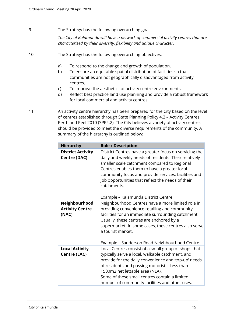9. The Strategy has the following overarching goal:

*The City of Kalamunda will have a network of commercial activity centres that are characterised by their diversity, flexibility and unique character.* 

- 10. The Strategy has the following overarching objectives:
	- a) To respond to the change and growth of population.
	- b) To ensure an equitable spatial distribution of facilities so that communities are not geographically disadvantaged from activity centres.
	- c) To improve the aesthetics of activity centre environments.
	- d) Reflect best practice land use planning and provide a robust framework for local commercial and activity centres.
- 11. An activity centre hierarchy has been prepared for the City based on the level of centres established through State Planning Policy 4.2 – Activity Centres Perth and Peel 2010 (SPP4.2). The City believes a variety of activity centres should be provided to meet the diverse requirements of the community. A summary of the hierarchy is outlined below:

| <b>Hierarchy</b>                                 | <b>Role / Description</b>                                                                                                                                                                                                                                                                                                                                                          |
|--------------------------------------------------|------------------------------------------------------------------------------------------------------------------------------------------------------------------------------------------------------------------------------------------------------------------------------------------------------------------------------------------------------------------------------------|
| <b>District Activity</b><br><b>Centre (DAC)</b>  | District Centres have a greater focus on servicing the<br>daily and weekly needs of residents. Their relatively<br>smaller scale catchment compared to Regional<br>Centres enables them to have a greater local<br>community focus and provide services, facilities and<br>job opportunities that reflect the needs of their<br>catchments.<br>Example – Kalamunda District Centre |
| Neighbourhood<br><b>Activity Centre</b><br>(NAC) | Neighbourhood Centres have a more limited role in<br>providing convenience retailing and community<br>facilities for an immediate surrounding catchment.<br>Usually, these centres are anchored by a<br>supermarket. In some cases, these centres also serve<br>a tourist market.<br>Example - Sanderson Road Neighbourhood Centre                                                 |
| <b>Local Activity</b><br><b>Centre (LAC)</b>     | Local Centres consist of a small group of shops that<br>typically serve a local, walkable catchment, and<br>provide for the daily convenience and 'top-up' needs<br>of residents and passing motorists. Less than<br>1500m2 net lettable area (NLA).<br>Some of these small centres contain a limited<br>number of community facilities and other uses.                            |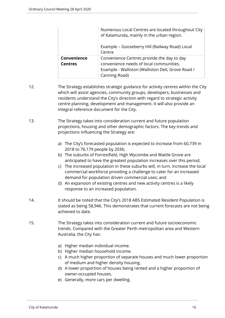|                               | Numerous Local Centres are located throughout City<br>of Kalamunda, mainly in the urban region.                                                             |  |
|-------------------------------|-------------------------------------------------------------------------------------------------------------------------------------------------------------|--|
|                               | Example - Gooseberry Hill (Railway Road) Local<br>Centre                                                                                                    |  |
| Convenience<br><b>Centres</b> | Convenience Centres provide the day to day<br>convenience needs of local communities.<br>Example - Walliston (Walliston Deli, Grove Road /<br>Canning Road) |  |

- 12. The Strategy establishes strategic guidance for activity centres within the City which will assist agencies, community groups, developers, businesses and residents understand the City's direction with regard to strategic activity centre planning, development and management. It will also provide an integral reference document for the City.
- 13. The Strategy takes into consideration current and future population projections, housing and other demographic factors. The key trends and projections influencing the Strategy are:
	- a) The City's forecasted population is expected to increase from 60,739 in 2018 to 76,179 people by 2036;
	- b) The suburbs of Forrestfield, High Wycombe and Wattle Grove are anticipated to have the greatest population increases over this period;
	- c) The increased population in these suburbs will, in turn, increase the local commercial workforce providing a challenge to cater for an increased demand for population driven commercial uses; and
	- d) An expansion of existing centres and new activity centres is a likely response to an increased population.
- 14. It should be noted that the City's 2018 ABS Estimated Resident Population is stated as being 58,946. This demonstrates that current forecasts are not being achieved to date.
- 15. The Strategy takes into consideration current and future socioeconomic trends. Compared with the Greater Perth metropolitan area and Western Australia, the City has:
	- a) Higher median individual income.
	- b) Higher median household income.
	- c) A much higher proportion of separate houses and much lower proportion of medium and higher density housing.
	- d) A lower proportion of houses being rented and a higher proportion of owner-occupied houses.
	- e) Generally, more cars per dwelling.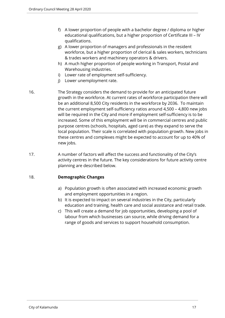- f) A lower proportion of people with a bachelor degree / diploma or higher educational qualifications, but a higher proportion of Certificate III – IV qualifications.
- g) A lower proportion of managers and professionals in the resident workforce, but a higher proportion of clerical & sales workers, technicians & trades workers and machinery operators & drivers.
- h) A much higher proportion of people working in Transport, Postal and Warehousing industries.
- i) Lower rate of employment self-sufficiency.
- j) Lower unemployment rate.
- 16. The Strategy considers the demand to provide for an anticipated future growth in the workforce. At current rates of workforce participation there will be an additional 8,500 City residents in the workforce by 2036. To maintain the current employment self-sufficiency ratios around 4,500 – 4,800 new jobs will be required in the City and more if employment self-sufficiency is to be increased. Some of this employment will be in commercial centres and public purpose centres (schools, hospitals, aged care) as they expand to serve the local population. Their scale is correlated with population growth. New jobs in these centres and complexes might be expected to account for up to 40% of new jobs.
- 17. A number of factors will affect the success and functionality of the City's activity centres in the future. The key considerations for future activity centre planning are described below.

#### 18. **Demographic Changes**

- a) Population growth is often associated with increased economic growth and employment opportunities in a region.
- b) It is expected to impact on several industries in the City, particularly education and training, health care and social assistance and retail trade.
- c) This will create a demand for job opportunities, developing a pool of labour from which businesses can source, while driving demand for a range of goods and services to support household consumption.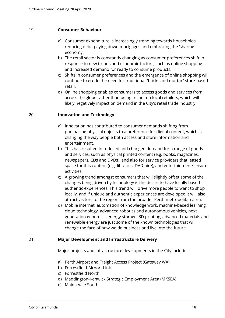#### 19. **Consumer Behaviour**

- a) Consumer expenditure is increasingly trending towards households reducing debt, paying down mortgages and embracing the 'sharing economy'.
- b) The retail sector is constantly changing as consumer preferences shift in response to new trends and economic factors, such as online shopping and increased demand for ready to consume products.
- c) Shifts in consumer preferences and the emergence of online shopping will continue to erode the need for traditional "bricks and mortar" store-based retail.
- d) Online shopping enables consumers to access goods and services from across the globe rather than being reliant on local retailers, which will likely negatively impact on demand in the City's retail trade industry.

#### 20. **Innovation and Technology**

- a) Innovation has contributed to consumer demands shifting from purchasing physical objects to a preference for digital content, which is changing the way people both access and store information and entertainment.
- b) This has resulted in reduced and changed demand for a range of goods and services, such as physical printed content (e.g. books, magazines, newspapers, CDs and DVDs), and also for service providers that leased space for this content (e.g. libraries, DVD hire), and entertainment/ leisure activities.
- c) A growing trend amongst consumers that will slightly offset some of the changes being driven by technology is the desire to have locally based authentic experiences. This trend will drive more people to want to shop locally, and if unique and authentic experiences are developed it will also attract visitors to the region from the broader Perth metropolitan area.
- d) Mobile internet, automation of knowledge work, machine-based learning, cloud technology, advanced robotics and autonomous vehicles, next generation genomics, energy storage, 3D printing, advanced materials and renewable energy are just some of the known technologies that will change the face of how we do business and live into the future.

#### 21. **Major Development and Infrastructure Delivery**

Major projects and infrastructure developments in the City include:

- a) Perth Airport and Freight Access Project (Gateway WA)
- b) Forrestfield-Airport Link
- c) Forrestfield North
- d) Maddington-Kenwick Strategic Employment Area (MKSEA)
- e) Maida Vale South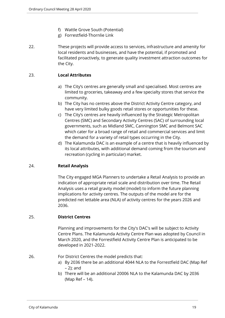- f) Wattle Grove South (Potential)
- g) Forrestfield-Thornlie Link
- 22. These projects will provide access to services, infrastructure and amenity for local residents and businesses, and have the potential, if promoted and facilitated proactively, to generate quality investment attraction outcomes for the City.

# 23. **Local Attributes**

- a) The City's centres are generally small and specialised. Most centres are limited to groceries, takeaway and a few specialty stores that service the community.
- b) The City has no centres above the District Activity Centre category, and have very limited bulky goods retail stores or opportunities for these.
- c) The City's centres are heavily influenced by the Strategic Metropolitan Centres (SMC) and Secondary Activity Centres (SAC) of surrounding local governments, such as Midland SMC, Cannington SMC and Belmont SAC which cater for a broad range of retail and commercial services and limit the demand for a variety of retail types occurring in the City.
- d) The Kalamunda DAC is an example of a centre that is heavily influenced by its local attributes, with additional demand coming from the tourism and recreation (cycling in particular) market.

#### 24. **Retail Analysis**

The City engaged MGA Planners to undertake a Retail Analysis to provide an indication of appropriate retail scale and distribution over time. The Retail Analysis uses a retail gravity model (model) to inform the future planning implications for activity centres. The outputs of the model are for the predicted net lettable area (NLA) of activity centres for the years 2026 and 2036.

#### 25. **District Centres**

Planning and improvements for the City's DAC's will be subject to Activity Centre Plans. The Kalamunda Activity Centre Plan was adopted by Council in March 2020, and the Forrestfield Activity Centre Plan is anticipated to be developed in 2021-2022.

# 26. For District Centres the model predicts that:

- a) By 2036 there be an additional 4044 NLA to the Forrestfield DAC (Map Ref – 2); and
- b) There will be an additional 20006 NLA to the Kalamunda DAC by 2036 (Map Ref – 14).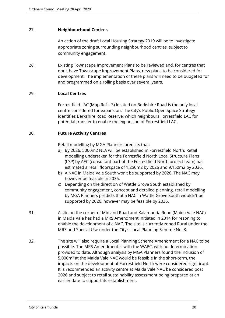#### 27. **Neighbourhood Centres**

An action of the draft Local Housing Strategy 2019 will be to investigate appropriate zoning surrounding neighbourhood centres, subject to community engagement.

28. Existing Townscape Improvement Plans to be reviewed and, for centres that don't have Townscape Improvement Plans, new plans to be considered for development. The implementation of these plans will need to be budgeted for and programmed on a rolling basis over several years.

#### 29. **Local Centres**

Forrestfield LAC (Map Ref – 3) located on Berkshire Road is the only local centre considered for expansion. The City's Public Open Space Strategy identifies Berkshire Road Reserve, which neighbours Forrestfield LAC for potential transfer to enable the expansion of Forrestfield LAC.

#### 30. **Future Activity Centres**

Retail modelling by MGA Planners predicts that:

- a) By 2026, 5000m2 NLA will be established in Forrestfield North. Retail modelling undertaken for the Forrestfield North Local Structure Plans (LSP) by AEC (consultant part of the Forrestfield North project team) has estimated a retail floorspace of 1,250m2 by 2026 and 9,150m2 by 2036.
- b) A NAC in Maida Vale South won't be supported by 2026. The NAC may however be feasible in 2036.
- c) Depending on the direction of Wattle Grove South established by community engagement, concept and detailed planning, retail modelling by MGA Planners predicts that a NAC in Wattle Grove South wouldn't be supported by 2026, however may be feasible by 2036.
- 31. A site on the corner of Midland Road and Kalamunda Road (Maida Vale NAC) in Maida Vale has had a MRS Amendment initiated in 2014 for rezoning to enable the development of a NAC. The site is currently zoned Rural under the MRS and Special Use under the City's Local Planning Scheme No. 3.
- 32. The site will also require a Local Planning Scheme Amendment for a NAC to be possible. The MRS Amendment is with the WAPC, with no determination provided to date. Although analysis by MGA Planners found the inclusion of 5,000m² at the Maida Vale NAC would be feasible in the short-term, the impacts on the development of Forrestfield North were considered significant. It is recommended an activity centre at Maida Vale NAC be considered post 2026 and subject to retail sustainability assessment being prepared at an earlier date to support its establishment.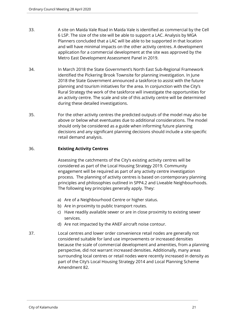- 33. A site on Maida Vale Road in Maida Vale is identified as commercial by the Cell 6 LSP. The size of the site will be able to support a LAC. Analysis by MGA Planners concluded that a LAC will be able to be supported in that location and will have minimal impacts on the other activity centres. A development application for a commercial development at the site was approved by the Metro East Development Assessment Panel in 2019.
- 34. In March 2018 the State Government's North East Sub-Regional Framework identified the Pickering Brook Townsite for planning investigation. In June 2018 the State Government announced a taskforce to assist with the future planning and tourism initiatives for the area. In conjunction with the City's Rural Strategy the work of the taskforce will investigate the opportunities for an activity centre. The scale and site of this activity centre will be determined during these detailed investigations.
- 35. For the other activity centres the predicted outputs of the model may also be above or below what eventuates due to additional considerations. The model should only be considered as a guide when informing future planning decisions and any significant planning decisions should include a site-specific retail demand analysis.

#### 36. **Existing Activity Centres**

Assessing the catchments of the City's existing activity centres will be considered as part of the Local Housing Strategy 2019. Community engagement will be required as part of any activity centre investigation process. The planning of activity centres is based on contemporary planning principles and philosophies outlined in SPP4.2 and Liveable Neighbourhoods. The following key principles generally apply. They:

- a) Are of a Neighbourhood Centre or higher status.
- b) Are in proximity to public transport routes.
- c) Have readily available sewer or are in close proximity to existing sewer services.
- d) Are not impacted by the ANEF aircraft noise contour.
- 37. Local centres and lower order convenience retail nodes are generally not considered suitable for land use improvements or increased densities because the scale of commercial development and amenities, from a planning perspective, did not warrant increased densities. Additionally, many areas surrounding local centres or retail nodes were recently increased in density as part of the City's Local Housing Strategy 2014 and Local Planning Scheme Amendment 82.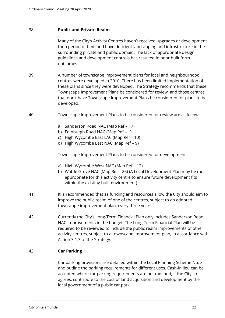#### 38. **Public and Private Realm**

Many of the City's Activity Centres haven't received upgrades or development for a period of time and have deficient landscaping and infrastructure in the surrounding private and public domain. The lack of appropriate design guidelines and development controls has resulted in poor built form outcomes.

- 39. A number of townscape improvement plans for local and neighbourhood centres were developed in 2010. There has been limited implementation of these plans since they were developed. The Strategy recommends that these Townscape Improvement Plans be considered for review, and those centres that don't have Townscape Improvement Plans be considered for plans to be developed.
- 40. Townscape Improvement Plans to be considered for review are as follows:
	- a) Sanderson Road NAC (Map Ref 17)
	- b) Edinburgh Road NAC (Map Ref 1)
	- c) High Wycombe East LAC (Map Ref 10)
	- d) High Wycombe East NAC (Map Ref 9)

Townscape Improvement Plans to be considered for development:

- a) High Wycombe West NAC (Map Ref 12)
- b) Wattle Grove NAC (Map Ref 26) (A Local Development Plan may be most appropriate for this activity centre to ensure future development fits within the existing built environment)
- 41. It is recommended that as funding and resources allow the City should aim to improve the public realm of one of the centres, subject to an adopted townscape improvement plan, every three years.
- 42. Currently the City's Long-Term Financial Plan only includes Sanderson Road NAC improvements in the budget. The Long-Term Financial Plan will be required to be reviewed to include the public realm improvements of other activity centres, subject to a townscape improvement plan, in accordance with Action 3.1.3 of the Strategy.

#### 43. **Car Parking**

Car parking provisions are detailed within the Local Planning Scheme No. 3 and outline the parking requirements for different uses. Cash-in lieu can be accepted where car parking requirements are not met and, if the City so agrees, contribute to the cost of land acquisition and development by the local government of a public car park.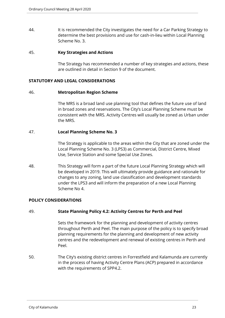44. It is recommended the City investigates the need for a Car Parking Strategy to determine the best provisions and use for cash-in-lieu within Local Planning Scheme No. 3.

#### 45. **Key Strategies and Actions**

The Strategy has recommended a number of key strategies and actions, these are outlined in detail in Section 9 of the document.

#### **STATUTORY AND LEGAL CONSIDERATIONS**

#### 46. **Metropolitan Region Scheme**

The MRS is a broad land use planning tool that defines the future use of land in broad zones and reservations. The City's Local Planning Scheme must be consistent with the MRS. Activity Centres will usually be zoned as Urban under the MRS.

#### 47. **Local Planning Scheme No. 3**

The Strategy is applicable to the areas within the City that are zoned under the Local Planning Scheme No. 3 (LPS3) as Commercial, District Centre, Mixed Use, Service Station and some Special Use Zones.

48. This Strategy will form a part of the future Local Planning Strategy which will be developed in 2019. This will ultimately provide guidance and rationale for changes to any zoning, land use classification and development standards under the LPS3 and will inform the preparation of a new Local Planning Scheme No 4.

#### **POLICY CONSIDERATIONS**

#### 49. **State Planning Policy 4.2: Activity Centres for Perth and Peel**

Sets the framework for the planning and development of activity centres throughout Perth and Peel. The main purpose of the policy is to specify broad planning requirements for the planning and development of new activity centres and the redevelopment and renewal of existing centres in Perth and Peel.

50. The City's existing district centres in Forrestfield and Kalamunda are currently in the process of having Activity Centre Plans (ACP) prepared in accordance with the requirements of SPP4.2.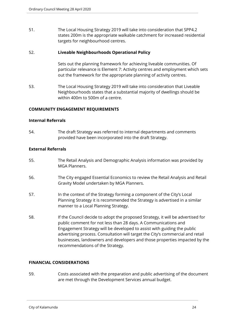51. The Local Housing Strategy 2019 will take into consideration that SPP4.2 states 200m is the appropriate walkable catchment for increased residential targets for neighbourhood centres.

#### 52. **Liveable Neighbourhoods Operational Policy**

Sets out the planning framework for achieving liveable communities. Of particular relevance is Element 7: Activity centres and employment which sets out the framework for the appropriate planning of activity centres.

53. The Local Housing Strategy 2019 will take into consideration that Liveable Neighbourhoods states that a substantial majority of dwellings should be within 400m to 500m of a centre.

#### **COMMUNITY ENGAGEMENT REQUIREMENTS**

#### **Internal Referrals**

54. The draft Strategy was referred to internal departments and comments provided have been incorporated into the draft Strategy.

#### **External Referrals**

- 55. The Retail Analysis and Demographic Analysis information was provided by MGA Planners.
- 56. The City engaged Essential Economics to review the Retail Analysis and Retail Gravity Model undertaken by MGA Planners.
- 57. In the context of the Strategy forming a component of the City's Local Planning Strategy it is recommended the Strategy is advertised in a similar manner to a Local Planning Strategy.
- 58. If the Council decide to adopt the proposed Strategy, it will be advertised for public comment for not less than 28 days. A Communications and Engagement Strategy will be developed to assist with guiding the public advertising process. Consultation will target the City's commercial and retail businesses, landowners and developers and those properties impacted by the recommendations of the Strategy.

#### **FINANCIAL CONSIDERATIONS**

59. Costs associated with the preparation and public advertising of the document are met through the Development Services annual budget.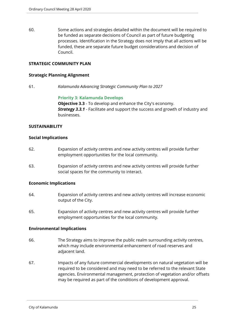60. Some actions and strategies detailed within the document will be required to be funded as separate decisions of Council as part of future budgeting processes. Identification in the Strategy does not imply that all actions will be funded, these are separate future budget considerations and decision of Council.

#### **STRATEGIC COMMUNITY PLAN**

#### **Strategic Planning Alignment**

61. *Kalamunda Advancing Strategic Community Plan to 2027*

#### **Priority 3: Kalamunda Develops**

**Objective 3.3** - To develop and enhance the City's economy. *Strategy 3.3.1* - Facilitate and support the success and growth of industry and businesses.

#### **SUSTAINABILITY**

#### **Social Implications**

- 62. Expansion of activity centres and new activity centres will provide further employment opportunities for the local community.
- 63. Expansion of activity centres and new activity centres will provide further social spaces for the community to interact.

#### **Economic Implications**

- 64. Expansion of activity centres and new activity centres will increase economic output of the City.
- 65. Expansion of activity centres and new activity centres will provide further employment opportunities for the local community.

#### **Environmental Implications**

- 66. The Strategy aims to improve the public realm surrounding activity centres, which may include environmental enhancement of road reserves and adjacent land.
- 67. Impacts of any future commercial developments on natural vegetation will be required to be considered and may need to be referred to the relevant State agencies. Environmental management, protection of vegetation and/or offsets may be required as part of the conditions of development approval.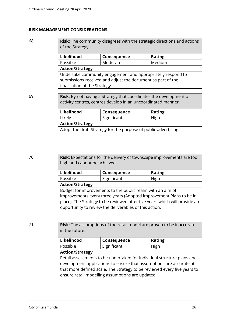#### **RISK MANAGEMENT CONSIDERATIONS**

68. **Risk**: The community disagrees with the strategic directions and actions of the Strategy.

| Likelihood                                                  | Consequence | <b>Rating</b> |  |
|-------------------------------------------------------------|-------------|---------------|--|
| Possible                                                    | Moderate    | Medium        |  |
| <b>Action/Strategy</b>                                      |             |               |  |
| Undertake community engagement and appropriately respond to |             |               |  |
| submissions received and adjust the document as part of the |             |               |  |
| finalisation of the Strategy.                               |             |               |  |

69. **Risk**: By not having a Strategy that coordinates the development of activity centres, centres develop in an uncoordinated manner.

| Likelihood                                                      | Consequence | <b>Rating</b> |  |
|-----------------------------------------------------------------|-------------|---------------|--|
| Likely                                                          | Significant | High          |  |
| <b>Action/Strategy</b>                                          |             |               |  |
| Adopt the draft Strategy for the purpose of public advertising. |             |               |  |
|                                                                 |             |               |  |

70. **Risk**: Expectations for the delivery of townscape improvements are too high and cannot be achieved.

| Likelihood                                                                 | Consequence | <b>Rating</b> |  |
|----------------------------------------------------------------------------|-------------|---------------|--|
| Possible                                                                   | Significant | High          |  |
| <b>Action/Strategy</b>                                                     |             |               |  |
| Budget for improvements to the public realm with an aim of                 |             |               |  |
| improvements every three years (Adopted Improvement Plans to be in         |             |               |  |
| place). The Strategy to be reviewed after five years which will provide an |             |               |  |
| opportunity to review the deliverables of this action.                     |             |               |  |

71. **Risk**: The assumptions of the retail model are proven to be inaccurate in the future.

| Likelihood<br><b>Rating</b><br>Consequence                               |             |      |
|--------------------------------------------------------------------------|-------------|------|
| Possible                                                                 | Significant | High |
| <b>Action/Strategy</b>                                                   |             |      |
| Retail assessments to be undertaken for individual structure plans and   |             |      |
| development applications to ensure that assumptions are accurate at      |             |      |
| that more defined scale. The Strategy to be reviewed every five years to |             |      |
| ensure retail modelling assumptions are updated.                         |             |      |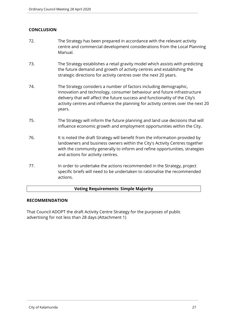#### **CONCLUSION**

- 72. The Strategy has been prepared in accordance with the relevant activity centre and commercial development considerations from the Local Planning Manual.
- 73. The Strategy establishes a retail gravity model which assists with predicting the future demand and growth of activity centres and establishing the strategic directions for activity centres over the next 20 years.
- 74. The Strategy considers a number of factors including demographic, innovation and technology, consumer behaviour and future infrastructure delivery that will affect the future success and functionality of the City's activity centres and influence the planning for activity centres over the next 20 years.
- 75. The Strategy will inform the future planning and land use decisions that will influence economic growth and employment opportunities within the City.
- 76. It is noted the draft Strategy will benefit from the information provided by landowners and business owners within the City's Activity Centres together with the community generally to inform and refine opportunities, strategies and actions for activity centres.
- 77. In order to undertake the actions recommended in the Strategy, project specific briefs will need to be undertaken to rationalise the recommended actions.

#### **Voting Requirements: Simple Majority**

#### **RECOMMENDATION**

That Council ADOPT the draft Activity Centre Strategy for the purposes of public advertising for not less than 28 days (Attachment 1)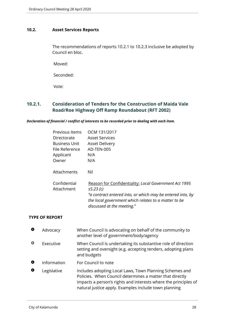# <span id="page-27-0"></span>**10.2. Asset Services Reports**

The recommendations of reports 10.2.1 to 10.2.3 inclusive be adopted by Council en bloc.

Moved:

Seconded:

Vote:

# <span id="page-27-1"></span>**10.2.1. Consideration of Tenders for the Construction of Maida Vale Road/Roe Highway Off Ramp Roundabout (RFT 2002)**

*Declaration of financial / conflict of interests to be recorded prior to dealing with each item.*

| Previous Items             | OCM 131/2017                                                                                                                                                                                                          |
|----------------------------|-----------------------------------------------------------------------------------------------------------------------------------------------------------------------------------------------------------------------|
| Directorate                | <b>Asset Services</b>                                                                                                                                                                                                 |
| <b>Business Unit</b>       | <b>Asset Delivery</b>                                                                                                                                                                                                 |
| File Reference             | AD-TEN-005                                                                                                                                                                                                            |
| Applicant                  | N/A                                                                                                                                                                                                                   |
| Owner                      | N/A                                                                                                                                                                                                                   |
| Attachments                | Nil                                                                                                                                                                                                                   |
| Confidential<br>Attachment | Reason for Confidentiality: Local Government Act 1995<br>s5.23(c)<br>"a contract entered into, or which may be entered into, by<br>the local government which relates to a matter to be<br>discussed at the meeting." |

#### **TYPE OF REPORT**

| O         | Advocacy    | When Council is advocating on behalf of the community to<br>another level of government/body/agency                                                                                                                                             |
|-----------|-------------|-------------------------------------------------------------------------------------------------------------------------------------------------------------------------------------------------------------------------------------------------|
| ♦         | Executive   | When Council is undertaking its substantive role of direction<br>setting and oversight (e.g. accepting tenders, adopting plans<br>and budgets                                                                                                   |
| $\bullet$ | Information | For Council to note                                                                                                                                                                                                                             |
| o         | Legislative | Includes adopting Local Laws, Town Planning Schemes and<br>Policies. When Council determines a matter that directly<br>impacts a person's rights and interests where the principles of<br>natural justice apply. Examples include town planning |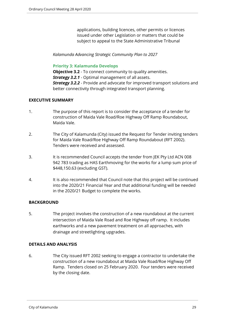applications, building licences, other permits or licences issued under other Legislation or matters that could be subject to appeal to the State Administrative Tribunal

*Kalamunda Advancing Strategic Community Plan to 2027*

#### **Priority 3: Kalamunda Develops**

**Objective 3.2** - To connect community to quality amenities. *Strategy 3.2.1* - Optimal management of all assets. *Strategy 3.2.2* - Provide and advocate for improved transport solutions and better connectivity through integrated transport planning.

#### **EXECUTIVE SUMMARY**

- 1. The purpose of this report is to consider the acceptance of a tender for construction of Maida Vale Road/Roe Highway Off Ramp Roundabout, Maida Vale.
- 2. The City of Kalamunda (City) issued the Request for Tender inviting tenders for Maida Vale Road/Roe Highway Off Ramp Roundabout (RFT 2002). Tenders were received and assessed.
- 3. It is recommended Council accepts the tender from JEK Pty Ltd ACN 008 942 783 trading as HAS Earthmoving for the works for a lump sum price of \$448,150.63 (excluding GST).
- 4. It is also recommended that Council note that this project will be continued into the 2020/21 Financial Year and that additional funding will be needed in the 2020/21 Budget to complete the works.

#### **BACKGROUND**

5. The project involves the construction of a new roundabout at the current intersection of Maida Vale Road and Roe Highway off ramp. It includes earthworks and a new pavement treatment on all approaches, with drainage and streetlighting upgrades.

#### **DETAILS AND ANALYSIS**

6. The City issued RFT 2002 seeking to engage a contractor to undertake the construction of a new roundabout at Maida Vale Road/Roe Highway Off Ramp. Tenders closed on 25 February 2020. Four tenders were received by the closing date.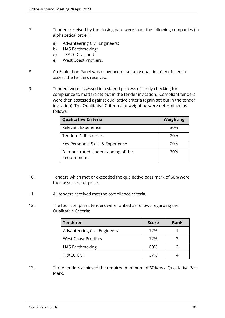- 7. Tenders received by the closing date were from the following companies (in alphabetical order):
	- a) Advanteering Civil Engineers;
	- b) HAS Earthmoving;
	- d) TRACC Civil; and
	- e) West Coast Profilers.
- 8. An Evaluation Panel was convened of suitably qualified City officers to assess the tenders received.
- 9. Tenders were assessed in a staged process of firstly checking for compliance to matters set out in the tender invitation. Compliant tenders were then assessed against qualitative criteria (again set out in the tender invitation). The Qualitative Criteria and weighting were determined as follows:

| <b>Qualitative Criteria</b>                       | Weighting |
|---------------------------------------------------|-----------|
| Relevant Experience                               | 30%       |
| Tenderer's Resources                              | 20%       |
| Key Personnel Skills & Experience                 | 20%       |
| Demonstrated Understanding of the<br>Requirements | 30%       |

- 10. Tenders which met or exceeded the qualitative pass mark of 60% were then assessed for price.
- 11. All tenders received met the compliance criteria.
- 12. The four compliant tenders were ranked as follows regarding the Qualitative Criteria:

| <b>Tenderer</b>                     | <b>Score</b> | <b>Rank</b> |
|-------------------------------------|--------------|-------------|
| <b>Advanteering Civil Engineers</b> | 72%          |             |
| <b>West Coast Profilers</b>         | 72%          |             |
| <b>HAS Earthmoving</b>              | 69%          | 3           |
| <b>TRACC Civil</b>                  | 57%          |             |

13. Three tenders achieved the required minimum of 60% as a Qualitative Pass Mark.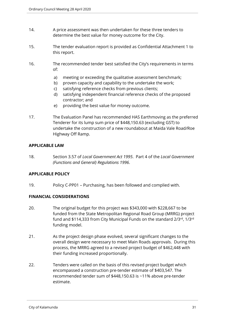- 14. A price assessment was then undertaken for these three tenders to determine the best value for money outcome for the City.
- 15. The tender evaluation report is provided as Confidential Attachment 1 to this report.
- 16. The recommended tender best satisfied the City's requirements in terms of:
	- a) meeting or exceeding the qualitative assessment benchmark;
	- b) proven capacity and capability to the undertake the work;
	- c) satisfying reference checks from previous clients;
	- d) satisfying independent financial reference checks of the proposed contractor; and
	- e) providing the best value for money outcome.
- 17. The Evaluation Panel has recommended HAS Earthmoving as the preferred Tenderer for its lump sum price of \$448,150.63 (excluding GST) to undertake the construction of a new roundabout at Maida Vale Road/Roe Highway Off Ramp.

#### **APPLICABLE LAW**

18. Section 3.57 of *Local Government Act 1995*. Part 4 of the *Local Government (Functions and General) Regulations 1996*.

#### **APPLICABLE POLICY**

19. Policy C-PP01 – Purchasing, has been followed and complied with.

#### **FINANCIAL CONSIDERATIONS**

- 20. The original budget for this project was \$343,000 with \$228,667 to be funded from the State Metropolitan Regional Road Group (MRRG) project fund and \$114,333 from City Municipal Funds on the standard 2/3rd, 1/3rd funding model.
- 21. As the project design phase evolved, several significant changes to the overall design were necessary to meet Main Roads approvals. During this process, the MRRG agreed to a revised project budget of \$462,448 with their funding increased proportionally.
- 22. Tenders were called on the basis of this revised project budget which encompassed a construction pre-tender estimate of \$403,547. The recommended tender sum of \$448,150.63 is ~11% above pre-tender estimate.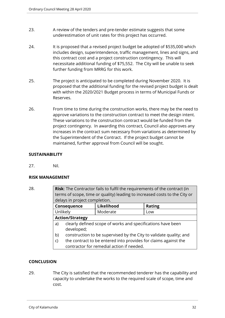- 23. A review of the tenders and pre-tender estimate suggests that some underestimation of unit rates for this project has occurred.
- 24. It is proposed that a revised project budget be adopted of \$535,000 which includes design, superintendence, traffic management, lines and signs, and this contract cost and a project construction contingency. This will necessitate additional funding of \$75,552. The City will be unable to seek further funding from MRRG for this work.
- 25. The project is anticipated to be completed during November 2020. It is proposed that the additional funding for the revised project budget is dealt with within the 2020/2021 Budget process in terms of Municipal Funds or Reserves.
- 26. From time to time during the construction works, there may be the need to approve variations to the construction contract to meet the design intent. These variations to the construction contract would be funded from the project contingency. In awarding this contract, Council also approves any increases in the contract sum necessary from variations as determined by the Superintendent of the Contract. If the project budget cannot be maintained, further approval from Council will be sought.

# **SUSTAINABILITY**

27. Nil.

#### **RISK MANAGEMENT**

28. **Risk**: The Contractor fails to fulfil the requirements of the contract (in terms of scope, time or quality) leading to increased costs to the City or delays in project completion. **Consequence Likelihood Rating** Unlikely | Moderate | Low **Action/Strategy** a) clearly defined scope of works and specifications have been developed; b) construction to be supervised by the City to validate quality; and c) the contract to be entered into provides for claims against the contractor for remedial action if needed.

#### **CONCLUSION**

29. The City is satisfied that the recommended tenderer has the capability and capacity to undertake the works to the required scale of scope, time and cost.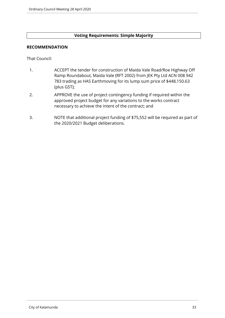#### **Voting Requirements: Simple Majority**

#### **RECOMMENDATION**

That Council:

- 1. ACCEPT the tender for construction of Maida Vale Road/Roe Highway Off Ramp Roundabout, Maida Vale (RFT 2002) from JEK Pty Ltd ACN 008 942 783 trading as HAS Earthmoving for its lump sum price of \$448,150.63 (plus GST);
- 2. APPROVE the use of project contingency funding if required within the approved project budget for any variations to the works contract necessary to achieve the intent of the contract; and
- 3. NOTE that additional project funding of \$75,552 will be required as part of the 2020/2021 Budget deliberations.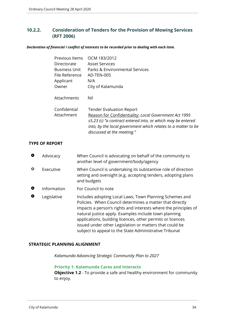# <span id="page-33-0"></span>**10.2.2. Consideration of Tenders for the Provision of Mowing Services (RFT 2006)**

#### *Declaration of financial / conflict of interests to be recorded prior to dealing with each item.*

| Previous Items       | OCM 183/2012                                                                                                                                                                                                        |
|----------------------|---------------------------------------------------------------------------------------------------------------------------------------------------------------------------------------------------------------------|
| Directorate          | <b>Asset Services</b>                                                                                                                                                                                               |
| <b>Business Unit</b> | Parks & Environmental Services                                                                                                                                                                                      |
| File Reference       | AD-TEN-005                                                                                                                                                                                                          |
| Applicant            | N/A                                                                                                                                                                                                                 |
| Owner                | City of Kalamunda                                                                                                                                                                                                   |
| Attachments          | Nil                                                                                                                                                                                                                 |
| Confidential         | <b>Tender Evaluation Report</b>                                                                                                                                                                                     |
| Attachment           | Reason for Confidentiality: Local Government Act 1995<br>s5.23 (c) "a contract entered into, or which may be entered<br>into, by the local government which relates to a matter to be<br>discussed at the meeting." |

#### **TYPE OF REPORT**

| O         | Advocacy    | When Council is advocating on behalf of the community to<br>another level of government/body/agency                                                                                                                                                                                                                                                                                                                                |
|-----------|-------------|------------------------------------------------------------------------------------------------------------------------------------------------------------------------------------------------------------------------------------------------------------------------------------------------------------------------------------------------------------------------------------------------------------------------------------|
| ♦         | Executive   | When Council is undertaking its substantive role of direction<br>setting and oversight (e.g. accepting tenders, adopting plans<br>and budgets                                                                                                                                                                                                                                                                                      |
| $\bullet$ | Information | For Council to note                                                                                                                                                                                                                                                                                                                                                                                                                |
| O         | Legislative | Includes adopting Local Laws, Town Planning Schemes and<br>Policies. When Council determines a matter that directly<br>impacts a person's rights and interests where the principles of<br>natural justice apply. Examples include town planning<br>applications, building licences, other permits or licences<br>issued under other Legislation or matters that could be<br>subject to appeal to the State Administrative Tribunal |

#### **STRATEGIC PLANNING ALIGNMENT**

*Kalamunda Advancing Strategic Community Plan to 2027*

#### **Priority 1: Kalamunda Cares and Interacts**

**Objective 1.2** - To provide a safe and healthy environment for community to enjoy.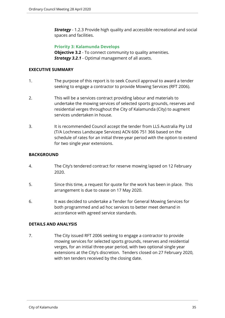**Strategy** - 1.2.3 Provide high quality and accessible recreational and social spaces and facilities.

#### **Priority 3: Kalamunda Develops**

**Objective 3.2** - To connect community to quality amenities. *Strategy 3.2.1* - Optimal management of all assets.

#### **EXECUTIVE SUMMARY**

- 1. The purpose of this report is to seek Council approval to award a tender seeking to engage a contractor to provide Mowing Services (RFT 2006).
- 2. This will be a services contract providing labour and materials to undertake the mowing services of selected sports grounds, reserves and residential verges throughout the City of Kalamunda (City) to augment services undertaken in house.
- 3. It is recommended Council accept the tender from LLS Australia Pty Ltd (T/A Lochness Landscape Services) ACN 606 751 366 based on the schedule of rates for an initial three-year period with the option to extend for two single year extensions.

# **BACKGROUND**

- 4. The City's tendered contract for reserve mowing lapsed on 12 February 2020.
- 5. Since this time, a request for quote for the work has been in place. This arrangement is due to cease on 17 May 2020.
- 6. It was decided to undertake a Tender for General Mowing Services for both programmed and ad hoc services to better meet demand in accordance with agreed service standards.

#### **DETAILS AND ANALYSIS**

7. The City issued RFT 2006 seeking to engage a contractor to provide mowing services for selected sports grounds, reserves and residential verges, for an initial three-year period, with two optional single year extensions at the City's discretion. Tenders closed on 27 February 2020, with ten tenders received by the closing date.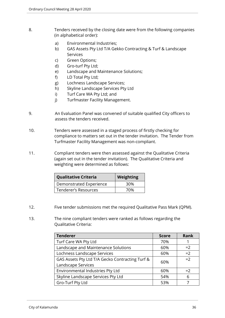- 8. Tenders received by the closing date were from the following companies (in alphabetical order):
	- a) Environmental Industries;
	- b) GAS Assets Pty Ltd T/A Gekko Contracting & Turf & Landscape Services
	- c) Green Options;
	- d) Gro-turf Pty Ltd;
	- e) Landscape and Maintenance Solutions;
	- f) LD Total Pty Ltd;
	- g) Lochness Landscape Services;
	- h) Skyline Landscape Services Pty Ltd
	- i) Turf Care WA Pty Ltd; and
	- j) Turfmaster Facility Management.
- 9. An Evaluation Panel was convened of suitable qualified City officers to assess the tenders received.
- 10. Tenders were assessed in a staged process of firstly checking for compliance to matters set out in the tender invitation. The Tender from Turfmaster Facility Management was non-compliant.
- 11. Compliant tenders were then assessed against the Qualitative Criteria (again set out in the tender invitation). The Qualitative Criteria and weighting were determined as follows:

| <b>Qualitative Criteria</b> | Weighting |
|-----------------------------|-----------|
| Demonstrated Experience     | 30%       |
| <b>Tenderer's Resources</b> | 70%       |

- 12. Five tender submissions met the required Qualitative Pass Mark (QPM).
- 13. The nine compliant tenders were ranked as follows regarding the Qualitative Criteria:

| <b>Tenderer</b>                                 | <b>Score</b> | <b>Rank</b> |
|-------------------------------------------------|--------------|-------------|
| Turf Care WA Pty Ltd                            | 70%          |             |
| Landscape and Maintenance Solutions             | 60%          | $=2$        |
| Lochness Landscape Services                     | 60%          | $=2$        |
| GAS Assets Pty Ltd T/A Gecko Contracting Turf & | 60%          | $=2$        |
| Landscape Services                              |              |             |
| Environmental Industries Pty Ltd                | 60%          | $=2$        |
| Skyline Landscape Services Pty Ltd              | 54%          | 6           |
| Gro-Turf Pty Ltd                                | 53%          |             |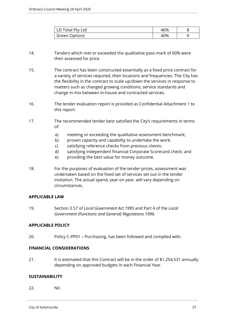| LD Total Pty Ltd     | 46% |  |
|----------------------|-----|--|
| <b>Green Options</b> | 40% |  |

- 14. Tenders which met or exceeded the qualitative pass mark of 60% were then assessed for price.
- 15. The contract has been constructed essentially as a fixed price contract for a variety of services required, their locations and frequencies. The City has the flexibility in the contract to scale up/down the services in response to matters such as changed growing conditions, service standards and change in mix between in-house and contracted services.
- 16. The tender evaluation report is provided as Confidential Attachment 1 to this report.
- 17. The recommended tender best satisfied the City's requirements in terms of:
	- a) meeting or exceeding the qualitative assessment benchmark;
	- b) proven capacity and capability to undertake the work;
	- c) satisfying reference checks from previous clients;
	- d) satisfying independent financial Corporate Scorecard check; and
	- e) providing the best value for money outcome.
- 18. For the purposes of evaluation of the tender prices, assessment was undertaken based on the fixed set of services set out in the tender invitation. The actual spend, year on year, will vary depending on circumstances.

#### **APPLICABLE LAW**

19. Section 3.57 of *Local Government Act 1995* and Part 4 of the *Local Government (Functions and General) Regulations 1996.*

#### **APPLICABLE POLICY**

20. Policy C-PP01 – Purchasing, has been followed and complied with.

#### **FINANCIAL CONSIDERATIONS**

21. It is estimated that this Contract will be in the order of \$1,254,531 annually depending on approved budgets in each Financial Year.

#### **SUSTAINABILITY**

22. Nil.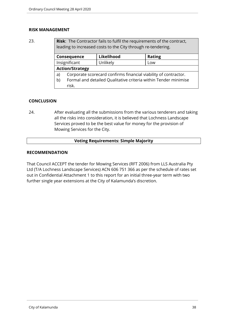#### **RISK MANAGEMENT**

23. **Risk**: The Contractor fails to fulfil the requirements of the contract, leading to increased costs to the City through re-tendering.

| Consequence            |                                                                 | Likelihood | <b>Rating</b> |
|------------------------|-----------------------------------------------------------------|------------|---------------|
| Insignificant          |                                                                 | Unlikely   | Low           |
| <b>Action/Strategy</b> |                                                                 |            |               |
| a)                     | Corporate scorecard confirms financial viability of contractor. |            |               |
| b)                     | Formal and detailed Qualitative criteria within Tender minimise |            |               |
|                        | risk.                                                           |            |               |

# **CONCLUSION**

24. After evaluating all the submissions from the various tenderers and taking all the risks into consideration, it is believed that Lochness Landscape Services proved to be the best value for money for the provision of Mowing Services for the City.

#### **Voting Requirements: Simple Majority**

#### **RECOMMENDATION**

That Council ACCEPT the tender for Mowing Services (RFT 2006) from LLS Australia Pty Ltd (T/A Lochness Landscape Services) ACN 606 751 366 as per the schedule of rates set out in Confidential Attachment 1 to this report for an initial three-year term with two further single year extensions at the City of Kalamunda's discretion.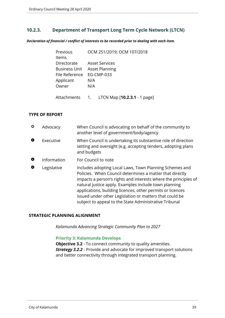# <span id="page-38-0"></span>**10.2.3. Department of Transport Long Term Cycle Network (LTCN)**

*Declaration of financial / conflict of interests to be recorded prior to dealing with each item.*

| Previous       | OCM 251/2019; OCM 107/2018 |
|----------------|----------------------------|
| ltems          |                            |
| Directorate    | <b>Asset Services</b>      |
| Business Unit  | <b>Asset Planning</b>      |
| File Reference | <b>EG-CMP-033</b>          |
| Applicant      | N/A                        |
| Owner          | N/A                        |
|                |                            |

Attachments 1. LTCN Map [**10.2.3.1** - 1 page]

#### **TYPE OF REPORT**

| ≎ | Advocacy    | When Council is advocating on behalf of the community to<br>another level of government/body/agency                                                                                                                                                                                                                                                                                                                                |
|---|-------------|------------------------------------------------------------------------------------------------------------------------------------------------------------------------------------------------------------------------------------------------------------------------------------------------------------------------------------------------------------------------------------------------------------------------------------|
| O | Executive   | When Council is undertaking its substantive role of direction<br>setting and oversight (e.g. accepting tenders, adopting plans<br>and budgets                                                                                                                                                                                                                                                                                      |
| O | Information | For Council to note                                                                                                                                                                                                                                                                                                                                                                                                                |
| O | Legislative | Includes adopting Local Laws, Town Planning Schemes and<br>Policies. When Council determines a matter that directly<br>impacts a person's rights and interests where the principles of<br>natural justice apply. Examples include town planning<br>applications, building licences, other permits or licences<br>issued under other Legislation or matters that could be<br>subject to appeal to the State Administrative Tribunal |

#### **STRATEGIC PLANNING ALIGNMENT**

*Kalamunda Advancing Strategic Community Plan to 2027*

#### **Priority 3: Kalamunda Develops**

**Objective 3.2** - To connect community to quality amenities. *Strategy 3.2.2* - Provide and advocate for improved transport solutions and better connectivity through integrated transport planning.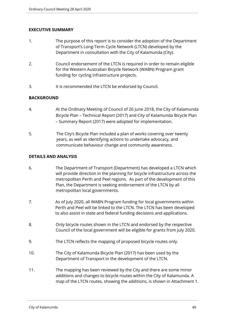#### **EXECUTIVE SUMMARY**

- 1. The purpose of this report is to consider the adoption of the Department of Transport's Long-Term Cycle Network (LTCN) developed by the Department in consultation with the City of Kalamunda (City).
- 2. Council endorsement of the LTCN is required in order to remain eligible for the Western Australian Bicycle Network (WABN) Program grant funding for cycling infrastructure projects.
- 3. It is recommended the LTCN be endorsed by Council.

#### **BACKGROUND**

- 4. At the Ordinary Meeting of Council of 26 June 2018, the City of Kalamunda Bicycle Plan – Technical Report (2017) and City of Kalamunda Bicycle Plan – Summary Report (2017) were adopted for implementation.
- 5. The City's Bicycle Plan included a plan of works covering over twenty years, as well as identifying actions to undertake advocacy, and communicate behaviour change and community awareness.

#### **DETAILS AND ANALYSIS**

- 6. The Department of Transport (Department) has developed a LTCN which will provide direction in the planning for bicycle infrastructure across the metropolitan Perth and Peel regions. As part of the development of this Plan, the Department is seeking endorsement of the LTCN by all metropolitan local governments.
- 7. As of July 2020, all WABN Program funding for local governments within Perth and Peel will be linked to the LTCN. The LTCN has been developed to also assist in state and federal funding decisions and applications.
- 8. Only bicycle routes shown in the LTCN and endorsed by the respective Council of the local government will be eligible for grants from July 2020.
- 9. The LTCN reflects the mapping of proposed bicycle routes only.
- 10. The City of Kalamunda Bicycle Plan (2017) has been used by the Department of Transport in the development of the LTCN.
- 11. The mapping has been reviewed by the City and there are some minor additions and changes to bicycle routes within the City of Kalamunda. A map of the LTCN routes, showing the additions, is shown in Attachment 1.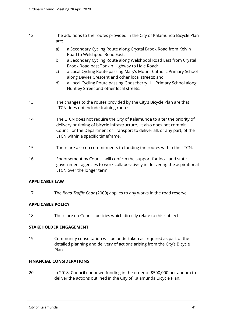- 12. The additions to the routes provided in the City of Kalamunda Bicycle Plan are:
	- a) a Secondary Cycling Route along Crystal Brook Road from Kelvin Road to Welshpool Road East;
	- b) a Secondary Cycling Route along Welshpool Road East from Crystal Brook Road past Tonkin Highway to Hale Road;
	- c) a Local Cycling Route passing Mary's Mount Catholic Primary School along Davies Crescent and other local streets; and
	- d) a Local Cycling Route passing Gooseberry Hill Primary School along Huntley Street and other local streets.
- 13. The changes to the routes provided by the City's Bicycle Plan are that LTCN does not include training routes.
- 14. The LTCN does not require the City of Kalamunda to alter the priority of delivery or timing of bicycle infrastructure. It also does not commit Council or the Department of Transport to deliver all, or any part, of the LTCN within a specific timeframe.
- 15. There are also no commitments to funding the routes within the LTCN.
- 16. Endorsement by Council will confirm the support for local and state government agencies to work collaboratively in delivering the aspirational LTCN over the longer term.

#### **APPLICABLE LAW**

17. The *Road Traffic Code* (2000) applies to any works in the road reserve.

# **APPLICABLE POLICY**

18. There are no Council policies which directly relate to this subject.

#### **STAKEHOLDER ENGAGEMENT**

19. Community consultation will be undertaken as required as part of the detailed planning and delivery of actions arising from the City's Bicycle Plan.

#### **FINANCIAL CONSIDERATIONS**

20. In 2018, Council endorsed funding in the order of \$500,000 per annum to deliver the actions outlined in the City of Kalamunda Bicycle Plan.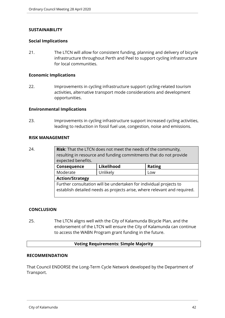#### **SUSTAINABILITY**

#### **Social Implications**

21. The LTCN will allow for consistent funding, planning and delivery of bicycle infrastructure throughout Perth and Peel to support cycling infrastructure for local communities.

#### **Economic Implications**

22. Improvements in cycling infrastructure support cycling-related tourism activities, alternative transport mode considerations and development opportunities.

#### **Environmental Implications**

23. Improvements in cycling infrastructure support increased cycling activities, leading to reduction in fossil fuel use, congestion, noise and emissions.

#### **RISK MANAGEMENT**

24. **Risk**: That the LTCN does not meet the needs of the community, resulting in resource and funding commitments that do not provide expected benefits.

| Consequence                                                                                                                                    | Likelihood | <b>Rating</b> |  |
|------------------------------------------------------------------------------------------------------------------------------------------------|------------|---------------|--|
| Moderate                                                                                                                                       | Unlikely   | Low           |  |
| <b>Action/Strategy</b>                                                                                                                         |            |               |  |
| Further consultation will be undertaken for individual projects to<br>establish detailed needs as projects arise, where relevant and required. |            |               |  |

#### **CONCLUSION**

25. The LTCN aligns well with the City of Kalamunda Bicycle Plan, and the endorsement of the LTCN will ensure the City of Kalamunda can continue to access the WABN Program grant funding in the future.

#### **Voting Requirements: Simple Majority**

#### **RECOMMENDATION**

That Council ENDORSE the Long-Term Cycle Network developed by the Department of Transport.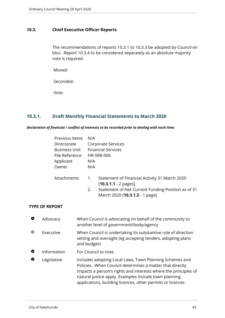# <span id="page-42-0"></span>**10.3. Chief Executive Officer Reports**

The recommendations of reports 10.3.1 to 10.3.3 be adopted by Council en bloc. Report 10.3.4 to be considered separately as an absolute majority vote is required.

Moved:

Seconded:

Vote:

# <span id="page-42-1"></span>**10.3.1. Draft Monthly Financial Statements to March 2020**

*Declaration of financial / conflict of interests to be recorded prior to dealing with each item.*

| Previous Items       | N/A                       |                                                                                                                                                                 |  |
|----------------------|---------------------------|-----------------------------------------------------------------------------------------------------------------------------------------------------------------|--|
| Directorate          |                           | Corporate Services                                                                                                                                              |  |
| <b>Business Unit</b> | <b>Financial Services</b> |                                                                                                                                                                 |  |
| File Reference       | FIR-SRR-006               |                                                                                                                                                                 |  |
| Applicant            | N/A                       |                                                                                                                                                                 |  |
| Owner                | N/A                       |                                                                                                                                                                 |  |
| Attachments          | 1.<br>2.                  | Statement of Financial Activity 31 March 2020<br>$[10.3.1.1 - 2$ pages]<br>Statement of Net Current Funding Position as of 31<br>March 2020 [10.3.1.2 - 1 page] |  |

#### **TYPE OF REPORT**

| $\bullet$ | Advocacy    | When Council is advocating on behalf of the community to<br>another level of government/body/agency                                                                                                                                                                                                           |
|-----------|-------------|---------------------------------------------------------------------------------------------------------------------------------------------------------------------------------------------------------------------------------------------------------------------------------------------------------------|
| ♦         | Executive   | When Council is undertaking its substantive role of direction<br>setting and oversight (eg accepting tenders, adopting plans<br>and budgets                                                                                                                                                                   |
| Ο         | Information | For Council to note                                                                                                                                                                                                                                                                                           |
| О         | Legislative | Includes adopting Local Laws, Town Planning Schemes and<br>Policies. When Council determines a matter that directly<br>impacts a person's rights and interests where the principles of<br>natural justice apply. Examples include town planning<br>applications, building licences, other permits or licences |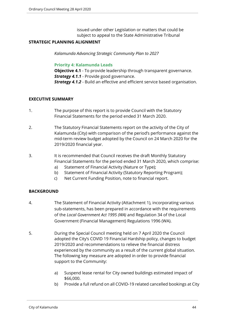issued under other Legislation or matters that could be subject to appeal to the State Administrative Tribunal

#### **STRATEGIC PLANNING ALIGNMENT**

*Kalamunda Advancing Strategic Community Plan to 2027*

#### **Priority 4: Kalamunda Leads**

**Objective 4.1** - To provide leadership through transparent governance. **Strategy 4.1.1** - Provide good governance. **Strategy 4.1.2** - Build an effective and efficient service based organisation.

#### **EXECUTIVE SUMMARY**

- 1. The purpose of this report is to provide Council with the Statutory Financial Statements for the period ended 31 March 2020.
- 2. The Statutory Financial Statements report on the activity of the City of Kalamunda (City) with comparison of the period's performance against the mid-term review budget adopted by the Council on 24 March 2020 for the 2019/2020 financial year.
- 3. It is recommended that Council receives the draft Monthly Statutory Financial Statements for the period ended 31 March 2020, which comprise:
	- a) Statement of Financial Activity (Nature or Type);
	- b) Statement of Financial Activity (Statutory Reporting Program);
	- c) Net Current Funding Position, note to financial report.

#### **BACKGROUND**

- 4. The Statement of Financial Activity (Attachment 1), incorporating various sub-statements, has been prepared in accordance with the requirements of the *Local Government Act 1995 (WA)* and Regulation 34 of the Local Government (Financial Management) Regulations 1996 (WA).
- 5. During the Special Council meeting held on 7 April 2020 the Council adopted the City's COVID 19 Financial Hardship policy, changes to budget 2019/2020 and recommendations to relieve the financial distress experienced by the community as a result of the current global situation. The following key measure are adopted in order to provide financial support to the Community:
	- a) Suspend lease rental for City owned buildings estimated impact of \$66,000.
	- b) Provide a full refund on all COVID-19 related cancelled bookings at City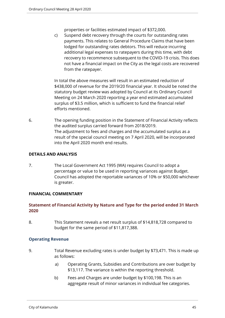properties or facilities estimated impact of \$372,000.

c) Suspend debt recovery through the courts for outstanding rates payments. This relates to General Procedure Claims that have been lodged for outstanding rates debtors. This will reduce incurring additional legal expenses to ratepayers during this time, with debt recovery to recommence subsequent to the COVID-19 crisis. This does not have a financial impact on the City as the legal costs are recovered from the ratepayer.

In total the above measures will result in an estimated reduction of \$438,000 of revenue for the 2019/20 financial year. It should be noted the statutory budget review was adopted by Council at its Ordinary Council Meeting on 24 March 2020 reporting a year end estimated accumulated surplus of \$3.5 million, which is sufficient to fund the financial relief efforts mentioned.

6. The opening funding position in the Statement of Financial Activity reflects the audited surplus carried forward from 2018/2019. The adjustment to fees and charges and the accumulated surplus as a result of the special council meeting on 7 April 2020, will be incorporated into the April 2020 month end results.

#### **DETAILS AND ANALYSIS**

7. The Local Government Act 1995 (WA) requires Council to adopt a percentage or value to be used in reporting variances against Budget. Council has adopted the reportable variances of 10% or \$50,000 whichever is greater.

#### **FINANCIAL COMMENTARY**

# **Statement of Financial Activity by Nature and Type for the period ended 31 March 2020**

8. This Statement reveals a net result surplus of \$14,818,728 compared to budget for the same period of \$11,817,388.

#### **Operating Revenue**

- 9. Total Revenue excluding rates is under budget by \$73,471. This is made up as follows:
	- a) Operating Grants, Subsidies and Contributions are over budget by \$13,117. The variance is within the reporting threshold.
	- b) Fees and Charges are under budget by \$100,198. This is an aggregate result of minor variances in individual fee categories.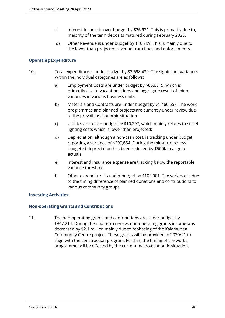- c) Interest Income is over budget by \$26,921. This is primarily due to, majority of the term deposits matured during February 2020.
- d) Other Revenue is under budget by \$16,799. This is mainly due to the lower than projected revenue from fines and enforcements.

# **Operating Expenditure**

- 10. Total expenditure is under budget by \$2,698,430. The significant variances within the individual categories are as follows:
	- a) Employment Costs are under budget by \$853,815, which is primarily due to vacant positions and aggregate result of minor variances in various business units.
	- b) Materials and Contracts are under budget by \$1,466,557. The work programmes and planned projects are currently under review due to the prevailing economic situation.
	- c) Utilities are under budget by \$10,297, which mainly relates to street lighting costs which is lower than projected;
	- d) Depreciation, although a non-cash cost, is tracking under budget, reporting a variance of \$299,654. During the mid-term review budgeted depreciation has been reduced by \$500k to align to actuals.
	- e) Interest and Insurance expense are tracking below the reportable variance threshold.
	- f) Other expenditure is under budget by \$102,901. The variance is due to the timing difference of planned donations and contributions to various community groups.

#### **Investing Activities**

#### **Non-operating Grants and Contributions**

11. The non-operating grants and contributions are under budget by \$847,214. During the mid-term review, non-operating grants income was decreased by \$2.1 million mainly due to rephasing of the Kalamunda Community Centre project. These grants will be provided in 2020/21 to align with the construction program. Further, the timing of the works programme will be effected by the current macro-economic situation.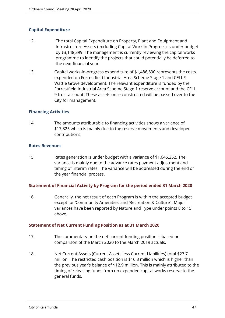# **Capital Expenditure**

- 12. The total Capital Expenditure on Property, Plant and Equipment and Infrastructure Assets (excluding Capital Work in Progress) is under budget by \$3,148,399. The management is currently reviewing the capital works programme to identify the projects that could potentially be deferred to the next financial year.
- 13. Capital works-in-progress expenditure of \$1,486,690 represents the costs expended on Forrestfield Industrial Area Scheme Stage 1 and CELL 9 Wattle Grove development. The relevant expenditure is funded by the Forrestfield Industrial Area Scheme Stage 1 reserve account and the CELL 9 trust account. These assets once constructed will be passed over to the City for management.

#### **Financing Activities**

14. The amounts attributable to financing activities shows a variance of \$17,825 which is mainly due to the reserve movements and developer contributions.

#### **Rates Revenues**

15. Rates generation is under budget with a variance of \$1,645,252. The variance is mainly due to the advance rates payment adjustment and timing of interim rates. The variance will be addressed during the end of the year financial process.

#### **Statement of Financial Activity by Program for the period ended 31 March 2020**

16. Generally, the net result of each Program is within the accepted budget except for 'Community Amenities' and 'Recreation & Culture' . Major variances have been reported by Nature and Type under points 8 to 15 above.

#### **Statement of Net Current Funding Position as at 31 March 2020**

- 17. The commentary on the net current funding position is based on comparison of the March 2020 to the March 2019 actuals.
- 18. Net Current Assets (Current Assets less Current Liabilities) total \$27.7 million. The restricted cash position is \$16.3 million which is higher than the previous year's balance of \$12.9 million. This is mainly attributed to the timing of releasing funds from un expended capital works reserve to the general funds.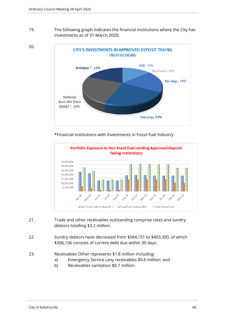20.

19. The following graph indicates the financial institutions where the City has investments as of 31 March 2020;



\*Financial Institutions with Investments in Fossil Fuel Industry



- 21. Trade and other receivables outstanding comprise rates and sundry debtors totalling \$3.2 million.
- 22. Sundry debtors have decreased from \$584,151 to \$403,390, of which \$306,106 consists of current debt due within 30 days.
- 23. Receivables Other represents \$1.8 million including:
	- a) Emergency Service Levy receivables \$0.6 million; and
	- b) Receivables sanitation \$0.7 million.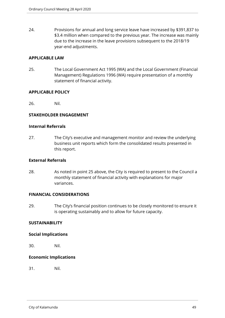24. Provisions for annual and long service leave have increased by \$391,837 to \$3.4 million when compared to the previous year. The increase was mainly due to the increase in the leave provisions subsequent to the 2018/19 year-end adjustments.

#### **APPLICABLE LAW**

25. The Local Government Act 1995 (WA) and the Local Government (Financial Management) Regulations 1996 (WA) require presentation of a monthly statement of financial activity.

#### **APPLICABLE POLICY**

26. Nil.

#### **STAKEHOLDER ENGAGEMENT**

#### **Internal Referrals**

27. The City's executive and management monitor and review the underlying business unit reports which form the consolidated results presented in this report.

#### **External Referrals**

28. As noted in point 25 above, the City is required to present to the Council a monthly statement of financial activity with explanations for major variances.

#### **FINANCIAL CONSIDERATIONS**

29. The City's financial position continues to be closely monitored to ensure it is operating sustainably and to allow for future capacity.

#### **SUSTAINABILITY**

#### **Social Implications**

30. Nil.

#### **Economic Implications**

31. Nil.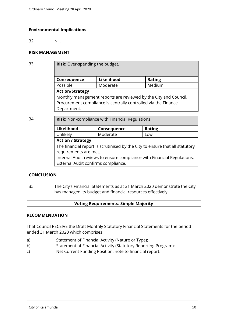#### **Environmental Implications**

32. Nil.

## **RISK MANAGEMENT**

33. **Risk**: Over-spending the budget.

| Consequence                                                      | Likelihood | <b>Rating</b> |  |  |
|------------------------------------------------------------------|------------|---------------|--|--|
| Possible                                                         | Moderate   | Medium        |  |  |
| <b>Action/Strategy</b>                                           |            |               |  |  |
| Monthly management reports are reviewed by the City and Council. |            |               |  |  |
| Procurement compliance is centrally controlled via the Finance   |            |               |  |  |
| Department.                                                      |            |               |  |  |

34. **Risk:** Non-compliance with Financial Regulations

| Likelihood                                                                   | Consequence | <b>Rating</b> |  |  |
|------------------------------------------------------------------------------|-------------|---------------|--|--|
| Unlikely                                                                     | Moderate    | Low           |  |  |
| <b>Action / Strategy</b>                                                     |             |               |  |  |
| The financial report is scrutinised by the City to ensure that all statutory |             |               |  |  |
| requirements are met.                                                        |             |               |  |  |
| Internal Audit reviews to ensure compliance with Financial Regulations.      |             |               |  |  |
| External Audit confirms compliance.                                          |             |               |  |  |

#### **CONCLUSION**

35. The City's Financial Statements as at 31 March 2020 demonstrate the City has managed its budget and financial resources effectively.

#### **Voting Requirements: Simple Majority**

#### **RECOMMENDATION**

That Council RECEIVE the Draft Monthly Statutory Financial Statements for the period ended 31 March 2020 which comprises:

- a) Statement of Financial Activity (Nature or Type);
- b) Statement of Financial Activity (Statutory Reporting Program);
- c) Net Current Funding Position, note to financial report.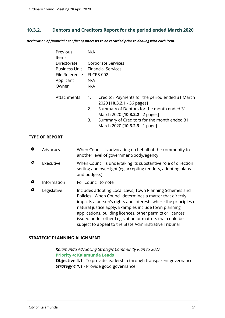# <span id="page-50-0"></span>**10.3.2. Debtors and Creditors Report for the period ended March 2020**

*Declaration of financial / conflict of interests to be recorded prior to dealing with each item.*

| Previous<br>Items                                                           | N/A            |                                                                                                                                                                                                                                                        |  |
|-----------------------------------------------------------------------------|----------------|--------------------------------------------------------------------------------------------------------------------------------------------------------------------------------------------------------------------------------------------------------|--|
| Directorate<br><b>Business Unit</b><br>File Reference<br>Applicant<br>Owner | N/A<br>N/A     | Corporate Services<br><b>Financial Services</b><br><b>FI-CRS-002</b>                                                                                                                                                                                   |  |
| Attachments                                                                 | 1.<br>2.<br>3. | Creditor Payments for the period ended 31 March<br>2020 [10.3.2.1 - 36 pages]<br>Summary of Debtors for the month ended 31<br>March 2020 [ <b>10.3.2.2</b> - 2 pages]<br>Summary of Creditors for the month ended 31<br>March 2020 [10.3.2.3 - 1 page] |  |

#### **TYPE OF REPORT**

| $\bullet$ | Advocacy    | When Council is advocating on behalf of the community to<br>another level of government/body/agency                                                                                                                                                                                                                                                                                                                                |
|-----------|-------------|------------------------------------------------------------------------------------------------------------------------------------------------------------------------------------------------------------------------------------------------------------------------------------------------------------------------------------------------------------------------------------------------------------------------------------|
| ♦         | Executive   | When Council is undertaking its substantive role of direction<br>setting and oversight (eg accepting tenders, adopting plans<br>and budgets)                                                                                                                                                                                                                                                                                       |
| O         | Information | For Council to note                                                                                                                                                                                                                                                                                                                                                                                                                |
| O         | Legislative | Includes adopting Local Laws, Town Planning Schemes and<br>Policies. When Council determines a matter that directly<br>impacts a person's rights and interests where the principles of<br>natural justice apply. Examples include town planning<br>applications, building licences, other permits or licences<br>issued under other Legislation or matters that could be<br>subject to appeal to the State Administrative Tribunal |

# **STRATEGIC PLANNING ALIGNMENT**

*Kalamunda Advancing Strategic Community Plan to 2027* **Priority 4: Kalamunda Leads**

**Objective 4.1** - To provide leadership through transparent governance. **Strategy 4.1.1** - Provide good governance.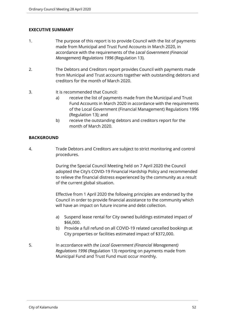#### **EXECUTIVE SUMMARY**

- 1. The purpose of this report is to provide Council with the list of payments made from Municipal and Trust Fund Accounts in March 2020, in accordance with the requirements of the *Local Government (Financial Management) Regulations 1996* (Regulation 13).
- 2. The Debtors and Creditors report provides Council with payments made from Municipal and Trust accounts together with outstanding debtors and creditors for the month of March 2020.
- 3. It is recommended that Council:
	- a) receive the list of payments made from the Municipal and Trust Fund Accounts in March 2020 in accordance with the requirements of the Local Government (Financial Management) Regulations 1996 (Regulation 13); and
	- b) receive the outstanding debtors and creditors report for the month of March 2020.

#### **BACKGROUND**

4. Trade Debtors and Creditors are subject to strict monitoring and control procedures.

> During the Special Council Meeting held on 7 April 2020 the Council adopted the City's COVID-19 Financial Hardship Policy and recommended to relieve the financial distress experienced by the community as a result of the current global situation.

Effective from 1 April 2020 the following principles are endorsed by the Council in order to provide financial assistance to the community which will have an impact on future income and debt collection.

- a) Suspend lease rental for City owned buildings estimated impact of \$66,000.
- b) Provide a full refund on all COVID-19 related cancelled bookings at City properties or facilities estimated impact of \$372,000.
- 5. In accordance with *the Local Government (Financial Management) Regulations 1996* (Regulation 13) reporting on payments made from Municipal Fund and Trust Fund must occur monthly.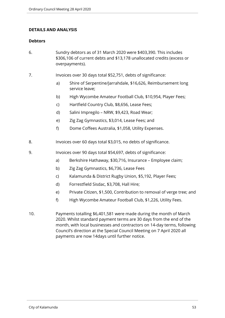#### **DETAILS AND ANALYSIS**

#### **Debtors**

- 6. Sundry debtors as of 31 March 2020 were \$403,390. This includes \$306,106 of current debts and \$13,178 unallocated credits (excess or overpayments).
- 7. Invoices over 30 days total \$52,751, debts of significance:
	- a) Shire of Serpentine/Jarrahdale, \$16,626, Reimbursement long service leave;
	- b) High Wycombe Amateur Football Club, \$10,954, Player Fees;
	- c) Hartfield Country Club, \$8,656, Lease Fees;
	- d) Salini Impregilo NRW, \$9,423, Road Wear;
	- e) Zig Zag Gymnastics, \$3,014, Lease Fees; and
	- f) Dome Coffees Australia, \$1,058, Utility Expenses.
- 8. Invoices over 60 days total \$3,015, no debts of significance.
- 9. Invoices over 90 days total \$54,697, debts of significance:
	- a) Berkshire Hathaway, \$30,716, Insurance Employee claim;
	- b) Zig Zag Gymnastics, \$6,736, Lease Fees
	- c) Kalamunda & District Rugby Union, \$5,192, Player Fees;
	- d) Forrestfield Sisdac, \$3,708, Hall Hire;
	- e) Private Citizen, \$1,500, Contribution to removal of verge tree; and
	- f) High Wycombe Amateur Football Club, \$1,226, Utility Fees.
- 10. Payments totalling \$6,401,581 were made during the month of March 2020. Whilst standard payment terms are 30 days from the end of the month, with local businesses and contractors on 14-day terms, following Council's direction at the Special Council Meeting on 7 April 2020 all payments are now 14days until further notice.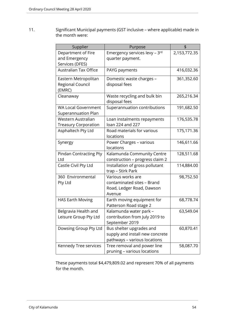11. Significant Municipal payments (GST inclusive – where applicable) made in the month were:

| Supplier                                          | Purpose                                              | \$           |
|---------------------------------------------------|------------------------------------------------------|--------------|
| Department of Fire                                | Emergency services levy - 3rd                        | 2,153,772.35 |
| and Emergency                                     | quarter payment.                                     |              |
| Services (DFES)                                   |                                                      |              |
| <b>Australian Tax Office</b>                      | PAYG payments                                        | 416,032.36   |
| Eastern Metropolitan                              | Domestic waste charges -                             | 361,352.60   |
| <b>Regional Council</b>                           | disposal fees                                        |              |
| (EMRC)                                            |                                                      |              |
| Cleanaway                                         | Waste recycling and bulk bin                         | 265,216.34   |
|                                                   | disposal fees                                        |              |
| <b>WA Local Government</b><br>Superannuation Plan | Superannuation contributions                         | 191,682.50   |
| Western Australian                                | Loan instalments repayments                          | 176,535.78   |
| <b>Treasury Corporation</b>                       | loan 224 and 227                                     |              |
| Asphaltech Pty Ltd                                | Road materials for various                           | 175,171.36   |
|                                                   | locations                                            |              |
| Synergy                                           | Power Charges - various<br>locations                 | 146,611.66   |
| <b>Pindan Contracting Pty</b>                     | Kalamunda Community Centre                           | 128,511.68   |
| Ltd                                               | construction - progress claim 2                      |              |
| Castle Civil Pty Ltd                              | Installation of gross pollutant<br>trap - Stirk Park | 114,884.00   |
| 360 Environmental                                 | Various works are                                    | 98,752.50    |
| Pty Ltd                                           | contaminated sites - Brand                           |              |
|                                                   | Road, Ledger Road, Dawson                            |              |
|                                                   | Avenue                                               |              |
| <b>HAS Earth Moving</b>                           | Earth moving equipment for                           | 68,778.74    |
|                                                   | Patterson Road stage 2                               |              |
| Belgravia Health and                              | Kalamunda water park -                               | 63,549.04    |
| Leisure Group Pty Ltd                             | contribution from July 2019 to                       |              |
|                                                   | September 2019                                       |              |
| Dowsing Group Pty Ltd                             | Bus shelter upgrades and                             | 60,870.41    |
|                                                   | supply and install new concrete                      |              |
|                                                   | pathways - various locations                         |              |
| Kennedy Tree services                             | Tree removal and power line                          | 58,087.70    |
|                                                   | pruning - various locations                          |              |

These payments total \$4,479,809.02 and represent 70% of all payments for the month.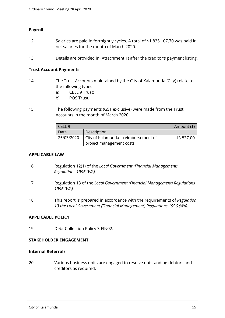### **Payroll**

- 12. Salaries are paid in fortnightly cycles. A total of \$1,835,107.70 was paid in net salaries for the month of March 2020.
- 13. Details are provided in (Attachment 1) after the creditor's payment listing.

#### **Trust Account Payments**

- 14. The Trust Accounts maintained by the City of Kalamunda (City) relate to the following types:
	- a) CELL 9 Trust;
	- b) POS Trust;
- 15. The following payments (GST exclusive) were made from the Trust Accounts in the month of March 2020.

| CELL <sub>9</sub>                                  | Amount (\$)               |           |
|----------------------------------------------------|---------------------------|-----------|
| Date                                               | Description               |           |
| City of Kalamunda - reimbursement of<br>25/03/2020 |                           | 13,837.00 |
|                                                    | project management costs. |           |

#### **APPLICABLE LAW**

- 16. Regulation 12(1) of the *Local Government (Financial Management) Regulations 1996 (WA)*.
- 17. Regulation 13 of the *Local Government (Financial Management) Regulations 1996 (WA)*.
- 18. This report is prepared in accordance with the requirements of *Regulation 13 the Local Government (Financial Management) Regulations 1996 (WA).*

#### **APPLICABLE POLICY**

19. Debt Collection Policy S-FIN02.

#### **STAKEHOLDER ENGAGEMENT**

#### **Internal Referrals**

20. Various business units are engaged to resolve outstanding debtors and creditors as required.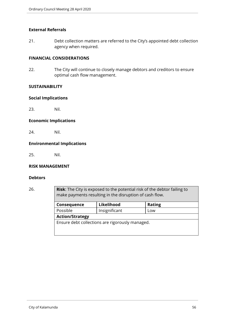#### **External Referrals**

21. Debt collection matters are referred to the City's appointed debt collection agency when required.

#### **FINANCIAL CONSIDERATIONS**

22. The City will continue to closely manage debtors and creditors to ensure optimal cash flow management.

#### **SUSTAINABILITY**

#### **Social Implications**

23. Nil.

#### **Economic Implications**

24. Nil.

#### **Environmental Implications**

25. Nil.

#### **RISK MANAGEMENT**

#### **Debtors**

26. **Risk**: The City is exposed to the potential risk of the debtor failing to make payments resulting in the disruption of cash flow.

| Consequence                                     | Likelihood    | <b>Rating</b> |  |  |
|-------------------------------------------------|---------------|---------------|--|--|
| Possible                                        | Insignificant | Low           |  |  |
| <b>Action/Strategy</b>                          |               |               |  |  |
| Ensure debt collections are rigorously managed. |               |               |  |  |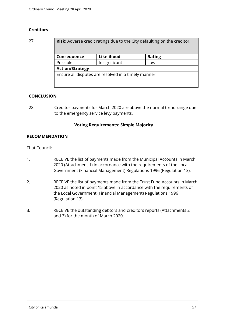# **Creditors**

| 27. | <b>Risk:</b> Adverse credit ratings due to the City defaulting on the creditor. |               |               |  |
|-----|---------------------------------------------------------------------------------|---------------|---------------|--|
|     | Consequence                                                                     | Likelihood    | <b>Rating</b> |  |
|     | Possible                                                                        | Insignificant | Low           |  |
|     | <b>Action/Strategy</b>                                                          |               |               |  |
|     | Ensure all disputes are resolved in a timely manner.                            |               |               |  |
|     |                                                                                 |               |               |  |

#### **CONCLUSION**

28. Creditor payments for March 2020 are above the normal trend range due to the emergency service levy payments.

#### **Voting Requirements: Simple Majority**

#### **RECOMMENDATION**

That Council:

- 1. RECEIVE the list of payments made from the Municipal Accounts in March 2020 (Attachment 1) in accordance with the requirements of the Local Government (Financial Management) Regulations 1996 (Regulation 13).
- 2. RECEIVE the list of payments made from the Trust Fund Accounts in March 2020 as noted in point 15 above in accordance with the requirements of the Local Government (Financial Management) Regulations 1996 (Regulation 13).
- 3. RECEIVE the outstanding debtors and creditors reports (Attachments 2 and 3) for the month of March 2020.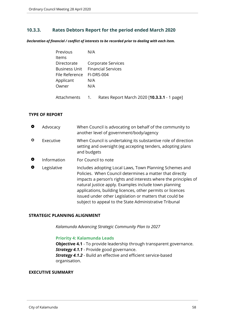# <span id="page-57-0"></span>**10.3.3. Rates Debtors Report for the period ended March 2020**

*Declaration of financial / conflict of interests to be recorded prior to dealing with each item.*

| Previous             | N/A                       |
|----------------------|---------------------------|
| <b>Items</b>         |                           |
| Directorate          | Corporate Services        |
| <b>Business Unit</b> | <b>Financial Services</b> |
| File Reference       | FI-DRS-004                |
| Applicant            | N/A                       |
| Owner                | N/A                       |
|                      |                           |
|                      |                           |

# Attachments 1. Rates Report March 2020 [**10.3.3.1** - 1 page]

#### **TYPE OF REPORT**

| O         | Advocacy    | When Council is advocating on behalf of the community to<br>another level of government/body/agency                                                                                                                                                                                                                                                                                                                                |
|-----------|-------------|------------------------------------------------------------------------------------------------------------------------------------------------------------------------------------------------------------------------------------------------------------------------------------------------------------------------------------------------------------------------------------------------------------------------------------|
| ٥         | Executive   | When Council is undertaking its substantive role of direction<br>setting and oversight (eg accepting tenders, adopting plans<br>and budgets                                                                                                                                                                                                                                                                                        |
| $\bullet$ | Information | For Council to note                                                                                                                                                                                                                                                                                                                                                                                                                |
| O         | Legislative | Includes adopting Local Laws, Town Planning Schemes and<br>Policies. When Council determines a matter that directly<br>impacts a person's rights and interests where the principles of<br>natural justice apply. Examples include town planning<br>applications, building licences, other permits or licences<br>issued under other Legislation or matters that could be<br>subject to appeal to the State Administrative Tribunal |

#### **STRATEGIC PLANNING ALIGNMENT**

*Kalamunda Advancing Strategic Community Plan to 2027*

### **Priority 4: Kalamunda Leads**

**Objective 4.1** - To provide leadership through transparent governance. **Strategy 4.1.1** - Provide good governance. *Strategy 4.1.2* - Build an effective and efficient service-based organisation.

#### **EXECUTIVE SUMMARY**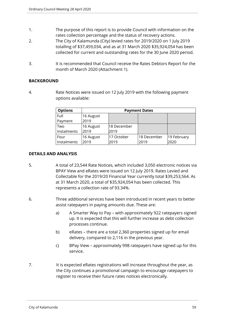- 1. The purpose of this report is to provide Council with information on the rates collection percentage and the status of recovery actions.
- 2. The City of Kalamunda (City) levied rates for 2019/2020 on 1 July 2019 totalling of \$37,459,034, and as at 31 March 2020 \$35,924,054 has been collected for current and outstanding rates for the 30 June 2020 period.
- 3. It is recommended that Council receive the Rates Debtors Report for the month of March 2020 (Attachment 1).

# **BACKGROUND**

4. Rate Notices were issued on 12 July 2019 with the following payment options available:

| <b>Options</b> | <b>Payment Dates</b> |             |             |             |
|----------------|----------------------|-------------|-------------|-------------|
| Full           | 16 August            |             |             |             |
| Payment        | 2019                 |             |             |             |
| Two            | 16 August            | 18 December |             |             |
| Instalments    | 2019                 | 2019        |             |             |
| Four           | 16 August            | 17 October  | 18 December | 19 February |
| Instalments    | 2019                 | 2019        | 2019        | 2020        |

#### **DETAILS AND ANALYSIS**

- 5. A total of 23,544 Rate Notices, which included 3,050 electronic notices via BPAY View and eRates were issued on 12 July 2019. Rates Levied and Collectable for the 2019/20 Financial Year currently total \$39,253,564. As at 31 March 2020, a total of \$35,924,054 has been collected. This represents a collection rate of 93.34%.
- 6. Three additional services have been introduced in recent years to better assist ratepayers in paying amounts due. These are:
	- a) A Smarter Way to Pay with approximately 922 ratepayers signed up. It is expected that this will further increase as debt collection processes continue.
	- b) eRates there are a total 2,360 properties signed up for email delivery, compared to 2,116 in the previous year.
	- c) BPay View approximately 998 ratepayers have signed up for this service.
- 7. It is expected eRates registrations will increase throughout the year, as the City continues a promotional campaign to encourage ratepayers to register to receive their future rates notices electronically.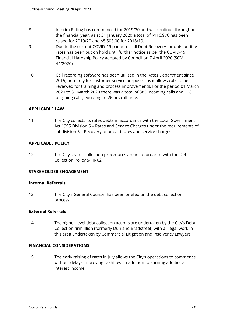- 8. Interim Rating has commenced for 2019/20 and will continue throughout the financial year, as at 31 January 2020 a total of \$116,976 has been raised for 2019/20 and \$5,503.00 for 2018/19.
- 9. Due to the current COVID-19 pandemic all Debt Recovery for outstanding rates has been put on hold until further notice as per the COVID-19 Financial Hardship Policy adopted by Council on 7 April 2020 (SCM 44/2020)
- 10. Call recording software has been utilised in the Rates Department since 2015, primarily for customer service purposes, as it allows calls to be reviewed for training and process improvements. For the period 01 March 2020 to 31 March 2020 there was a total of 383 incoming calls and 128 outgoing calls, equating to 26 hrs call time.

#### **APPLICABLE LAW**

11. The City collects its rates debts in accordance with the Local Government Act 1995 Division 6 – Rates and Service Charges under the requirements of subdivision 5 – Recovery of unpaid rates and service charges.

#### **APPLICABLE POLICY**

12. The City's rates collection procedures are in accordance with the Debt Collection Policy S-FIN02.

#### **STAKEHOLDER ENGAGEMENT**

#### **Internal Referrals**

13. The City's General Counsel has been briefed on the debt collection process.

#### **External Referrals**

14. The higher-level debt collection actions are undertaken by the City's Debt Collection firm Illion (formerly Dun and Bradstreet) with all legal work in this area undertaken by Commercial Litigation and Insolvency Lawyers.

#### **FINANCIAL CONSIDERATIONS**

15. The early raising of rates in July allows the City's operations to commence without delays improving cashflow, in addition to earning additional interest income.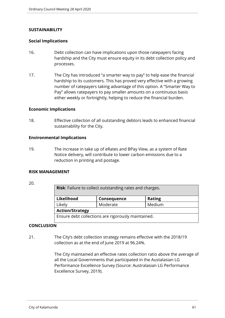#### **SUSTAINABILITY**

#### **Social Implications**

- 16. Debt collection can have implications upon those ratepayers facing hardship and the City must ensure equity in its debt collection policy and processes.
- 17. The City has introduced "a smarter way to pay" to help ease the financial hardship to its customers. This has proved very effective with a growing number of ratepayers taking advantage of this option. A "Smarter Way to Pay" allows ratepayers to pay smaller amounts on a continuous basis either weekly or fortnightly, helping to reduce the financial burden.

#### **Economic Implications**

18. Effective collection of all outstanding debtors leads to enhanced financial sustainability for the City.

#### **Environmental Implications**

19. The increase in take up of eRates and BPay View, as a system of Rate Notice delivery, will contribute to lower carbon emissions due to a reduction in printing and postage.

#### **RISK MANAGEMENT**

#### 20.

| <b>Risk:</b> Failure to collect outstanding rates and charges. |             |               |
|----------------------------------------------------------------|-------------|---------------|
| Likelihood                                                     | Consequence | <b>Rating</b> |
| Likely                                                         | Moderate    | Medium        |
| <b>Action/Strategy</b>                                         |             |               |
| Ensure debt collections are rigorously maintained.             |             |               |

#### **CONCLUSION**

21. The City's debt collection strategy remains effective with the 2018/19 collection as at the end of June 2019 at 96.24%.

> The City maintained an effective rates collection ratio above the average of all the Local Governments that participated in the Austalasian LG Performance Excellence Survey (Source: Australasian LG Performance Excellence Survey, 2019).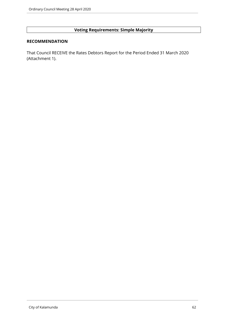# **Voting Requirements: Simple Majority**

#### **RECOMMENDATION**

That Council RECEIVE the Rates Debtors Report for the Period Ended 31 March 2020 (Attachment 1).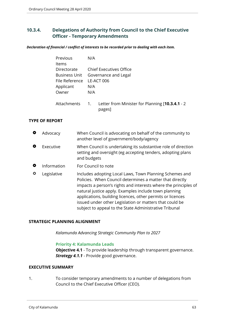# <span id="page-62-0"></span>**10.3.4. Delegations of Authority from Council to the Chief Executive Officer - Temporary Amendments**

*Declaration of financial / conflict of interests to be recorded prior to dealing with each item.*

| Previous       | N/A                                                          |
|----------------|--------------------------------------------------------------|
| Items          |                                                              |
| Directorate    | Chief Executives Office                                      |
|                | Business Unit Governance and Legal                           |
| File Reference | LE-ACT 006                                                   |
| Applicant      | N/A                                                          |
| Owner          | N/A                                                          |
| Attachments    | 1. Letter from Minister for Planning [10.3.4.1 - 2<br>pages] |

#### **TYPE OF REPORT**

| O | Advocacy    | When Council is advocating on behalf of the community to<br>another level of government/body/agency                                                                                                                                                                                                                                                                                                                                |
|---|-------------|------------------------------------------------------------------------------------------------------------------------------------------------------------------------------------------------------------------------------------------------------------------------------------------------------------------------------------------------------------------------------------------------------------------------------------|
| О | Executive   | When Council is undertaking its substantive role of direction<br>setting and oversight (eg accepting tenders, adopting plans<br>and budgets                                                                                                                                                                                                                                                                                        |
| O | Information | For Council to note                                                                                                                                                                                                                                                                                                                                                                                                                |
| ⇔ | Legislative | Includes adopting Local Laws, Town Planning Schemes and<br>Policies. When Council determines a matter that directly<br>impacts a person's rights and interests where the principles of<br>natural justice apply. Examples include town planning<br>applications, building licences, other permits or licences<br>issued under other Legislation or matters that could be<br>subject to appeal to the State Administrative Tribunal |

#### **STRATEGIC PLANNING ALIGNMENT**

*Kalamunda Advancing Strategic Community Plan to 2027*

#### **Priority 4: Kalamunda Leads**

**Objective 4.1** - To provide leadership through transparent governance. **Strategy 4.1.1** - Provide good governance.

#### **EXECUTIVE SUMMARY**

1. To consider temporary amendments to a number of delegations from Council to the Chief Executive Officer (CEO).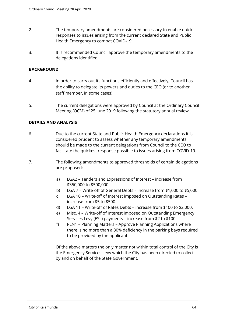- 2. The temporary amendments are considered necessary to enable quick responses to issues arising from the current declared State and Public Health Emergency to combat COVID-19.
- 3. It is recommended Council approve the temporary amendments to the delegations identified.

#### **BACKGROUND**

- 4. In order to carry out its functions efficiently and effectively, Council has the ability to delegate its powers and duties to the CEO (or to another staff member, in some cases).
- 5. The current delegations were approved by Council at the Ordinary Council Meeting (OCM) of 25 June 2019 following the statutory annual review.

#### **DETAILS AND ANALYSIS**

- 6. Due to the current State and Public Health Emergency declarations it is considered prudent to assess whether any temporary amendments should be made to the current delegations from Council to the CEO to facilitate the quickest response possible to issues arising from COVID-19.
- 7. The following amendments to approved thresholds of certain delegations are proposed:
	- a) LGA2 Tenders and Expressions of Interest increase from \$350,000 to \$500,000.
	- b) LGA 7 Write-off of General Debts increase from \$1,000 to \$5,000.
	- c) LGA 10 Write-off of Interest imposed on Outstanding Rates increase from \$5 to \$500.
	- d) LGA 11 Write-off of Rates Debts increase from \$100 to \$2,000.
	- e) Misc. 4 Write-off of Interest imposed on Outstanding Emergency Services Levy (ESL) payments – increase from \$2 to \$100.
	- f) PLN1 Planning Matters Approve Planning Applications where there is no more than a 30% deficiency in the parking bays required to be provided by the applicant.

Of the above matters the only matter not within total control of the City is the Emergency Services Levy which the City has been directed to collect by and on behalf of the State Government.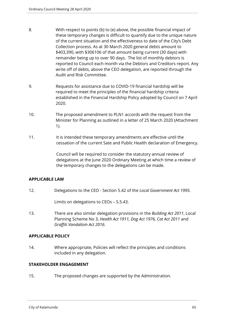- 8. With respect to points (b) to (e) above, the possible financial impact of these temporary changes is difficult to quantify due to the unique nature of the current situation and the effectiveness to date of the City's Debt Collection process. As at 30 March 2020 general debts amount to \$403,390, with \$306106 of that amount being current (30 days) with remainder being up to over 90 days. The list of monthly debtors is reported to Council each month via the Debtors and Creditors report. Any write off of debts, above the CEO delegation, are reported through the Audit and Risk Committee.
- 9. Requests for assistance due to COVID-19 financial hardship will be required to meet the principles of the financial hardship criteria established in the Financial Hardship Policy adopted by Council on 7 April 2020.
- 10. The proposed amendment to PLN1 accords with the request from the Minister for Planning as outlined in a letter of 25 March 2020 (Attachment 1).
- 11. It is intended these temporary amendments are effective until the cessation of the current Sate and Public Health declaration of Emergency.

Council will be required to consider the statutory annual review of delegations at the June 2020 Ordinary Meeting at which time a review of the temporary changes to the delegations can be made.

#### **APPLICABLE LAW**

12. Delegations to the CEO - Section 5.42 of the *Local Government Act 1995.*

Limits on delegations to CEOs – S.5.43.

13. There are also similar delegation provisions in the *Building Act 2011*, Local Planning Scheme No 3, *Health Act 1911, Dog Act 1976, Cat Act 2011* and *Graffiti Vandalism Act 2016.*

#### **APPLICABLE POLICY**

14. Where appropriate, Policies will reflect the principles and conditions included in any delegation.

#### **STAKEHOLDER ENGAGEMENT**

15. The proposed changes are supported by the Administration.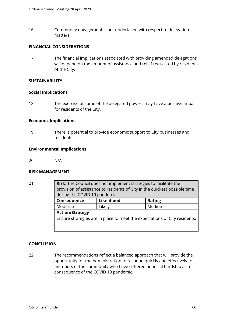16. Community engagement is not undertaken with respect to delegation matters.

#### **FINANCIAL CONSIDERATIONS**

17. The financial implications associated with providing amended delegations will depend on the amount of assistance and relief requested by residents of the City.

#### **SUSTAINABILITY**

#### **Social Implications**

18. The exercise of some of the delegated powers may have a positive impact for residents of the City.

#### **Economic Implications**

19. There is potential to provide economic support to City businesses and residents.

#### **Environmental Implications**

20. N/A

#### **RISK MANAGEMENT**

21. **Risk**: The Council does not implement strategies to facilitate the provision of assistance to residents of City in the quickest possible time during the COVID 19 pandemic **Consequence** Likelihood | Rating Moderate Likely Medium **Action/Strategy** Ensure strategies are in place to meet the expectations of City residents.

#### **CONCLUSION**

22. The recommendations reflect a balanced approach that will provide the opportunity for the Administration to respond quickly and effectively to members of the community who have suffered financial hardship as a consequence of the COVID 19 pandemic.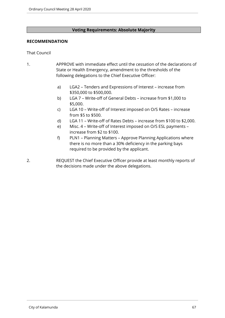#### **Voting Requirements: Absolute Majority**

#### **RECOMMENDATION**

#### That Council

- 1. APPROVE with immediate effect until the cessation of the declarations of State or Health Emergency, amendment to the thresholds of the following delegations to the Chief Executive Officer:
	- a) LGA2 Tenders and Expressions of Interest increase from \$350,000 to \$500,000.
	- b) LGA 7 Write-off of General Debts increase from \$1,000 to \$5,000.
	- c) LGA 10 Write-off of Interest imposed on O/S Rates increase from \$5 to \$500.
	- d) LGA 11 Write-off of Rates Debts increase from \$100 to \$2,000.
	- e) Misc. 4 Write-off of Interest imposed on O/S ESL payments increase from \$2 to \$100.
	- f) PLN1 Planning Matters Approve Planning Applications where there is no more than a 30% deficiency in the parking bays required to be provided by the applicant.
- 2. REQUEST the Chief Executive Officer provide at least monthly reports of the decisions made under the above delegations.